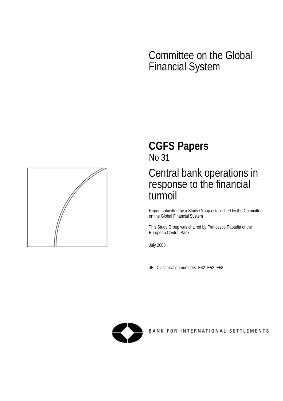# Committee on the Global Financial System



# **CGFS Papers**  No 31

# Central bank operations in response to the financial turmoil

Report submitted by a Study Group established by the Committee on the Global Financial System

This Study Group was chaired by Francesco Papadia of the European Central Bank

July 2008

JEL Classification numbers: E42, E52, E58



BANK FOR INTERNATIONAL SETTLEMENTS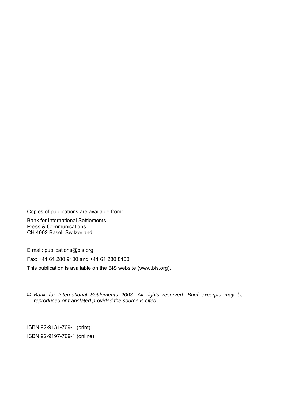Copies of publications are available from:

Bank for International Settlements Press & Communications CH 4002 Basel, Switzerland

E mail: publications@bis.org Fax: +41 61 280 9100 and +41 61 280 8100 This publication is available on the BIS website (www.bis.org).

#### © *Bank for International Settlements 2008. All rights reserved. Brief excerpts may be reproduced or translated provided the source is cited.*

ISBN 92-9131-769-1 (print) ISBN 92-9197-769-1 (online)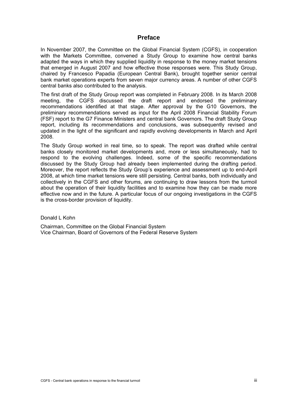# **Preface**

In November 2007, the Committee on the Global Financial System (CGFS), in cooperation with the Markets Committee, convened a Study Group to examine how central banks adapted the ways in which they supplied liquidity in response to the money market tensions that emerged in August 2007 and how effective those responses were. This Study Group, chaired by Francesco Papadia (European Central Bank), brought together senior central bank market operations experts from seven major currency areas. A number of other CGFS central banks also contributed to the analysis.

The first draft of the Study Group report was completed in February 2008. In its March 2008 meeting, the CGFS discussed the draft report and endorsed the preliminary recommendations identified at that stage. After approval by the G10 Governors, the preliminary recommendations served as input for the April 2008 Financial Stability Forum (FSF) report to the G7 Finance Ministers and central bank Governors. The draft Study Group report, including its recommendations and conclusions, was subsequently revised and updated in the light of the significant and rapidly evolving developments in March and April 2008.

The Study Group worked in real time, so to speak. The report was drafted while central banks closely monitored market developments and, more or less simultaneously, had to respond to the evolving challenges. Indeed, some of the specific recommendations discussed by the Study Group had already been implemented during the drafting period. Moreover, the report reflects the Study Group's experience and assessment up to end-April 2008, at which time market tensions were still persisting. Central banks, both individually and collectively in the CGFS and other forums, are continuing to draw lessons from the turmoil about the operation of their liquidity facilities and to examine how they can be made more effective now and in the future. A particular focus of our ongoing investigations in the CGFS is the cross-border provision of liquidity.

Donald L Kohn

Chairman, Committee on the Global Financial System Vice Chairman, Board of Governors of the Federal Reserve System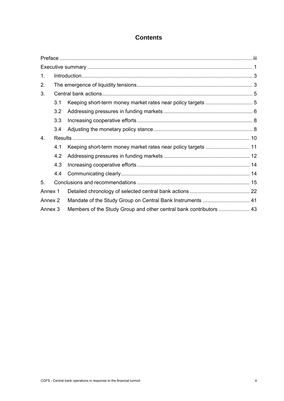# **Contents**

| 1.             |     |  |
|----------------|-----|--|
| 2.             |     |  |
| 3.             |     |  |
|                | 3.1 |  |
|                | 3.2 |  |
|                | 3.3 |  |
|                | 3.4 |  |
| 4 <sub>1</sub> |     |  |
|                | 4.1 |  |
|                | 4.2 |  |
|                | 4.3 |  |
|                | 4.4 |  |
| 5.             |     |  |
| Annex 1        |     |  |
| Annex 2        |     |  |
| Annex 3        |     |  |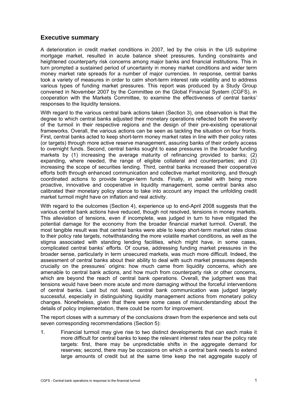# **Executive summary**

A deterioration in credit market conditions in 2007, led by the crisis in the US subprime mortgage market, resulted in acute balance sheet pressures, funding constraints and heightened counterparty risk concerns among major banks and financial institutions. This in turn prompted a sustained period of uncertainty in money market conditions and wider term money market rate spreads for a number of major currencies. In response, central banks took a variety of measures in order to calm short-term interest rate volatility and to address various types of funding market pressures. This report was produced by a Study Group convened in November 2007 by the Committee on the Global Financial System (CGFS), in cooperation with the Markets Committee, to examine the effectiveness of central banks' responses to the liquidity tensions.

With regard to the various central bank actions taken (Section 3), one observation is that the degree to which central banks adjusted their monetary operations reflected both the severity of the turmoil in their respective regions and the design of their pre-existing operational frameworks. Overall, the various actions can be seen as tackling the situation on four fronts. First, central banks acted to keep short-term money market rates in line with their policy rates (or targets) through more active reserve management, assuring banks of their orderly access to overnight funds. Second, central banks sought to ease pressures in the broader funding markets by (1) increasing the average maturity of refinancing provided to banks; (2) expanding, where needed, the range of eligible collateral and counterparties; and (3) increasing the scope of securities lending. Third, central banks increased their cooperative efforts both through enhanced communication and collective market monitoring, and through coordinated actions to provide longer-term funds. Finally, in parallel with being more proactive, innovative and cooperative in liquidity management, some central banks also calibrated their monetary policy stance to take into account any impact the unfolding credit market turmoil might have on inflation and real activity.

With regard to the outcomes (Section 4), experience up to end-April 2008 suggests that the various central bank actions have reduced, though not resolved, tensions in money markets. This alleviation of tensions, even if incomplete, was judged in turn to have mitigated the potential damage for the economy from the broader financial market turmoil. Overall, the most tangible result was that central banks were able to keep short-term market rates close to their policy rate targets, notwithstanding the more volatile market conditions, as well as the stigma associated with standing lending facilities, which might have, in some cases, complicated central banks' efforts. Of course, addressing funding market pressures in the broader sense, particularly in term unsecured markets, was much more difficult. Indeed, the assessment of central banks about their ability to deal with such market pressures depends crucially on the pressures' origins: how much came from liquidity concerns, which are amenable to central bank actions, and how much from counterparty risk or other concerns, which are beyond the reach of central bank operations. Overall, the judgment was that tensions would have been more acute and more damaging without the forceful interventions of central banks. Last but not least, central bank communication was judged largely successful, especially in distinguishing liquidity management actions from monetary policy changes. Nonetheless, given that there were some cases of misunderstanding about the details of policy implementation, there could be room for improvement.

The report closes with a summary of the conclusions drawn from the experience and sets out seven corresponding recommendations (Section 5):

1. Financial turmoil may give rise to two distinct developments that can each make it more difficult for central banks to keep the relevant interest rates near the policy rate targets: first, there may be unpredictable shifts in the aggregate demand for reserves; second, there may be occasions on which a central bank needs to extend large amounts of credit but at the same time keep the net aggregate supply of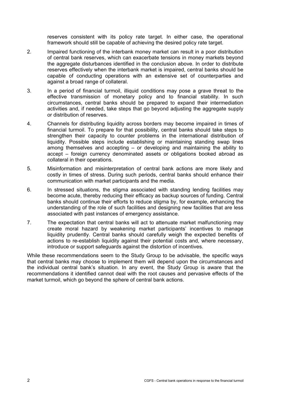reserves consistent with its policy rate target. In either case, the operational framework should still be capable of achieving the desired policy rate target.

- 2. Impaired functioning of the interbank money market can result in a poor distribution of central bank reserves, which can exacerbate tensions in money markets beyond the aggregate disturbances identified in the conclusion above. In order to distribute reserves effectively when the interbank market is impaired, central banks should be capable of conducting operations with an extensive set of counterparties and against a broad range of collateral.
- 3. In a period of financial turmoil, illiquid conditions may pose a grave threat to the effective transmission of monetary policy and to financial stability. In such circumstances, central banks should be prepared to expand their intermediation activities and, if needed, take steps that go beyond adjusting the aggregate supply or distribution of reserves.
- 4. Channels for distributing liquidity across borders may become impaired in times of financial turmoil. To prepare for that possibility, central banks should take steps to strengthen their capacity to counter problems in the international distribution of liquidity. Possible steps include establishing or maintaining standing swap lines among themselves and accepting – or developing and maintaining the ability to accept – foreign currency denominated assets or obligations booked abroad as collateral in their operations.
- 5. Misinformation and misinterpretation of central bank actions are more likely and costly in times of stress. During such periods, central banks should enhance their communication with market participants and the media.
- 6. In stressed situations, the stigma associated with standing lending facilities may become acute, thereby reducing their efficacy as backup sources of funding. Central banks should continue their efforts to reduce stigma by, for example, enhancing the understanding of the role of such facilities and designing new facilities that are less associated with past instances of emergency assistance.
- 7. The expectation that central banks will act to attenuate market malfunctioning may create moral hazard by weakening market participants' incentives to manage liquidity prudently. Central banks should carefully weigh the expected benefits of actions to re-establish liquidity against their potential costs and, where necessary, introduce or support safeguards against the distortion of incentives.

While these recommendations seem to the Study Group to be advisable, the specific ways that central banks may choose to implement them will depend upon the circumstances and the individual central bank's situation. In any event, the Study Group is aware that the recommendations it identified cannot deal with the root causes and pervasive effects of the market turmoil, which go beyond the sphere of central bank actions.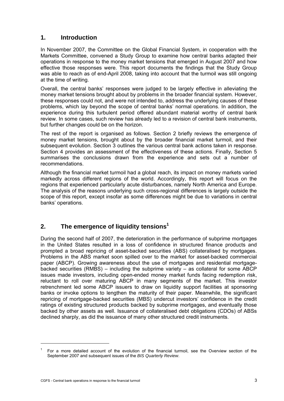# **1. Introduction**

In November 2007, the Committee on the Global Financial System, in cooperation with the Markets Committee, convened a Study Group to examine how central banks adapted their operations in response to the money market tensions that emerged in August 2007 and how effective those responses were. This report documents the findings that the Study Group was able to reach as of end-April 2008, taking into account that the turmoil was still ongoing at the time of writing.

Overall, the central banks' responses were judged to be largely effective in alleviating the money market tensions brought about by problems in the broader financial system. However, these responses could not, and were not intended to, address the underlying causes of these problems, which lay beyond the scope of central banks' normal operations. In addition, the experience during this turbulent period offered abundant material worthy of central bank review. In some cases, such review has already led to a revision of central bank instruments, but further changes could be on the horizon.

The rest of the report is organised as follows. Section 2 briefly reviews the emergence of money market tensions, brought about by the broader financial market turmoil, and their subsequent evolution. Section 3 outlines the various central bank actions taken in response. Section 4 provides an assessment of the effectiveness of these actions. Finally, Section 5 summarises the conclusions drawn from the experience and sets out a number of recommendations.

Although the financial market turmoil had a global reach, its impact on money markets varied markedly across different regions of the world. Accordingly, this report will focus on the regions that experienced particularly acute disturbances, namely North America and Europe. The analysis of the reasons underlying such cross-regional differences is largely outside the scope of this report, except insofar as some differences might be due to variations in central banks' operations.

# **2. The emergence of liquidity tensions1**

During the second half of 2007, the deterioration in the performance of subprime mortgages in the United States resulted in a loss of confidence in structured finance products and prompted a broad repricing of asset-backed securities (ABS) collateralised by mortgages. Problems in the ABS market soon spilled over to the market for asset-backed commercial paper (ABCP). Growing awareness about the use of mortgages and residential mortgagebacked securities (RMBS) – including the subprime variety – as collateral for some ABCP issues made investors, including open-ended money market funds facing redemption risk, reluctant to roll over maturing ABCP in many segments of the market. This investor retrenchment led some ABCP issuers to draw on liquidity support facilities at sponsoring banks or invoke options to lengthen the maturity of their paper. Meanwhile, the significant repricing of mortgage-backed securities (MBS) undercut investors' confidence in the credit ratings of existing structured products backed by subprime mortgages, and eventually those backed by other assets as well. Issuance of collateralised debt obligations (CDOs) of ABSs declined sharply, as did the issuance of many other structured credit instruments.

 $\overline{a}$ 

<sup>1</sup> For a more detailed account of the evolution of the financial turmoil, see the Overview section of the September 2007 and subsequent issues of the *BIS Quarterly Review*.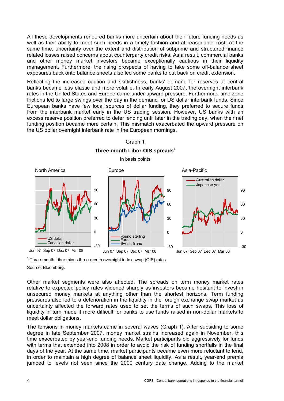All these developments rendered banks more uncertain about their future funding needs as well as their ability to meet such needs in a timely fashion and at reasonable cost. At the same time, uncertainty over the extent and distribution of subprime and structured finance related losses raised concerns about counterparty credit risks. As a result, commercial banks and other money market investors became exceptionally cautious in their liquidity management. Furthermore, the rising prospects of having to take some off-balance sheet exposures back onto balance sheets also led some banks to cut back on credit extension.

Reflecting the increased caution and skittishness, banks' demand for reserves at central banks became less elastic and more volatile. In early August 2007, the overnight interbank rates in the United States and Europe came under upward pressure. Furthermore, time zone frictions led to large swings over the day in the demand for US dollar interbank funds. Since European banks have few local sources of dollar funding, they preferred to secure funds from the interbank market early in the US trading session. However, US banks with an excess reserve position preferred to defer lending until later in the trading day, when their net funding position became more certain. This mismatch exacerbated the upward pressure on the US dollar overnight interbank rate in the European mornings.



Graph 1

 $1$  Three-month Libor minus three-month overnight index swap (OIS) rates.

Source: Bloomberg.

Other market segments were also affected. The spreads on term money market rates relative to expected policy rates widened sharply as investors became hesitant to invest in unsecured money markets at anything other than the shortest horizons. Term funding pressures also led to a deterioration in the liquidity in the foreign exchange swap market as uncertainty affected the forward rates used to set the terms of such swaps. This loss of liquidity in turn made it more difficult for banks to use funds raised in non-dollar markets to meet dollar obligations.

The tensions in money markets came in several waves (Graph 1). After subsiding to some degree in late September 2007, money market strains increased again in November, this time exacerbated by year-end funding needs. Market participants bid aggressively for funds with terms that extended into 2008 in order to avoid the risk of funding shortfalls in the final days of the year. At the same time, market participants became even more reluctant to lend, in order to maintain a high degree of balance sheet liquidity. As a result, year-end premia jumped to levels not seen since the 2000 century date change. Adding to the market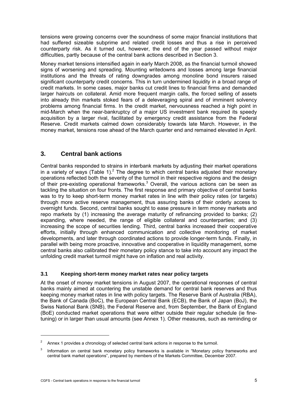tensions were growing concerns over the soundness of some major financial institutions that had suffered sizeable subprime and related credit losses and thus a rise in perceived counterparty risk. As it turned out, however, the end of the year passed without major difficulties, partly because of the central bank actions described in Section 3.

Money market tensions intensified again in early March 2008, as the financial turmoil showed signs of worsening and spreading. Mounting writedowns and losses among large financial institutions and the threats of rating downgrades among monoline bond insurers raised significant counterparty credit concerns. This in turn undermined liquidity in a broad range of credit markets. In some cases, major banks cut credit lines to financial firms and demanded larger haircuts on collateral. Amid more frequent margin calls, the forced selling of assets into already thin markets stoked fears of a deleveraging spiral and of imminent solvency problems among financial firms. In the credit market, nervousness reached a high point in mid-March when the near-bankruptcy of a major US investment bank required its speedy acquisition by a larger rival, facilitated by emergency credit assistance from the Federal Reserve. Credit markets calmed down considerably towards late March. However, in the money market, tensions rose ahead of the March quarter end and remained elevated in April.

# **3. Central bank actions**

Central banks responded to strains in interbank markets by adjusting their market operations in a variety of ways (Table 1).<sup>2</sup> The degree to which central banks adjusted their monetary operations reflected both the severity of the turmoil in their respective regions and the design of their pre-existing operational frameworks. $3$  Overall, the various actions can be seen as tackling the situation on four fronts. The first response and primary objective of central banks was to try to keep short-term money market rates in line with their policy rates (or targets) through more active reserve management, thus assuring banks of their orderly access to overnight funds. Second, central banks sought to ease pressure in term money markets and repo markets by (1) increasing the average maturity of refinancing provided to banks; (2) expanding, where needed, the range of eligible collateral and counterparties; and (3) increasing the scope of securities lending. Third, central banks increased their cooperative efforts, initially through enhanced communication and collective monitoring of market developments, and later through coordinated actions to provide longer-term funds. Finally, in parallel with being more proactive, innovative and cooperative in liquidity management, some central banks also calibrated their monetary policy stance to take into account any impact the unfolding credit market turmoil might have on inflation and real activity.

## **3.1 Keeping short-term money market rates near policy targets**

At the onset of money market tensions in August 2007, the operational responses of central banks mainly aimed at countering the unstable demand for central bank reserves and thus keeping money market rates in line with policy targets. The Reserve Bank of Australia (RBA), the Bank of Canada (BoC), the European Central Bank (ECB), the Bank of Japan (BoJ), the Swiss National Bank (SNB), the Federal Reserve and, from September, the Bank of England (BoE) conducted market operations that were either outside their regular schedule (ie finetuning) or in larger than usual amounts (see Annex 1). Other measures, such as reminding or

<sup>2</sup> Annex 1 provides a chronology of selected central bank actions in response to the turmoil.

<sup>3</sup> Information on central bank monetary policy frameworks is available in "Monetary policy frameworks and central bank market operations", prepared by members of the Markets Committee, December 2007.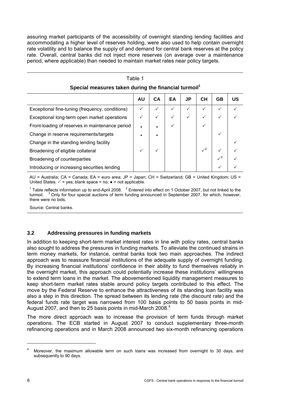assuring market participants of the accessibility of overnight standing lending facilities and accommodating a higher level of reserves holding, were also used to help contain overnight rate volatility and to balance the supply of and demand for central bank reserves at the policy rate. Overall, central banks did not inject more reserves (on average over a maintenance period, where applicable) than needed to maintain market rates near policy targets.

| Special measures taken during the financial turmoil |              |    |              |    |              |            |           |
|-----------------------------------------------------|--------------|----|--------------|----|--------------|------------|-----------|
|                                                     | <b>AU</b>    | СA | EA           | JP | <b>CH</b>    | <b>GB</b>  | <b>US</b> |
| Exceptional fine-tuning (frequency, conditions)     |              |    | ✓            |    | $\checkmark$ |            |           |
| Exceptional long-term open market operations        | ✓            |    | $\checkmark$ | ✓  | $\checkmark$ | ✓          |           |
| Front-loading of reserves in maintenance period     | $\bullet$    |    |              |    | ✓            |            |           |
| Change in reserve requirements/targets              |              |    |              |    |              |            |           |
| Change in the standing lending facility             |              |    |              |    |              |            |           |
| Broadening of eligible collateral                   | $\checkmark$ |    |              |    | $\sqrt{2}$   |            |           |
| Broadening of counterparties                        |              |    |              |    |              | $\sqrt{3}$ |           |
| Introducing or increasing securities lending        |              |    |              |    |              |            |           |

#### Table 1 **Special measures taken during the financial turmoil1**

AU = Australia; CA = Canada; EA = euro area; JP = Japan; CH = Switzerland; GB = United Kingdom; US = United States.  $\checkmark$  = yes; blank space = no;  $\bullet$  = not applicable.

<sup>1</sup> Table reflects information up to end-April 2008.  $2$  Entered into effect on 1 October 2007, but not linked to the turmoil. <sup>3</sup> Only for four special auctions of term funding announced in September 2007, for which, however, there were no bids.

Source: Central banks.

## **3.2 Addressing pressures in funding markets**

In addition to keeping short-term market interest rates in line with policy rates, central banks also sought to address the pressures in funding markets. To alleviate the continued strains in term money markets, for instance, central banks took two main approaches. The indirect approach was to reassure financial institutions of the adequate supply of overnight funding. By increasing financial institutions' confidence in their ability to fund themselves reliably in the overnight market, this approach could potentially increase these institutions' willingness to extend term loans in the market. The abovementioned liquidity management measures to keep short-term market rates stable around policy targets contributed to this effect. The move by the Federal Reserve to enhance the attractiveness of its standing loan facility was also a step in this direction. The spread between its lending rate (the discount rate) and the federal funds rate target was narrowed from 100 basis points to 50 basis points in mid-August 2007, and then to 25 basis points in mid-March 2008. $4$ 

The more direct approach was to increase the provision of term funds through market operations. The ECB started in August 2007 to conduct supplementary three-month refinancing operations and in March 2008 announced two six-month refinancing operations

<sup>4</sup> Moreover, the maximum allowable term on such loans was increased from overnight to 30 days, and subsequently to 90 days.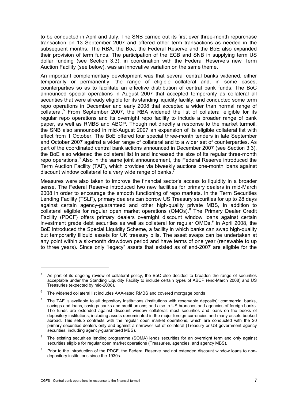to be conducted in April and July. The SNB carried out its first ever three-month repurchase transaction on 13 September 2007 and offered other term transactions as needed in the subsequent months. The RBA, the BoJ, the Federal Reserve and the BoE also expanded their provision of term funds. The participation of the ECB and SNB in supplying term US dollar funding (see Section 3.3), in coordination with the Federal Reserve's new Term Auction Facility (see below), was an innovative variation on the same theme.

An important complementary development was that several central banks widened, either temporarily or permanently, the range of eligible collateral and, in some cases, counterparties so as to facilitate an effective distribution of central bank funds. The BoC announced special operations in August 2007 that accepted temporarily as collateral all securities that were already eligible for its standing liquidity facility, and conducted some term repo operations in December and early 2008 that accepted a wider than normal range of collateral.<sup>5</sup> From September 2007, the RBA widened the list of collateral eligible for its regular repo operations and its overnight repo facility to include a broader range of bank paper, as well as RMBS and ABCP. Though not directly a response to the market turmoil, the SNB also announced in mid-August 2007 an expansion of its eligible collateral list with effect from 1 October. The BoE offered four special three-month tenders in late September and October 2007 against a wider range of collateral and to a wider set of counterparties. As part of the coordinated central bank actions announced in December 2007 (see Section 3.3), the BoE also widened the collateral list in and increased the size of its regular three-month repo operations.<sup>6</sup> Also in the same joint announcement, the Federal Reserve introduced the Term Auction Facility (TAF), which provides via biweekly auctions one-month loans against discount window collateral to a very wide range of banks.<sup>7</sup>

Measures were also taken to improve the financial sector's access to liquidity in a broader sense. The Federal Reserve introduced two new facilities for primary dealers in mid-March 2008 in order to encourage the smooth functioning of repo markets. In the Term Securities Lending Facility (TSLF), primary dealers can borrow US Treasury securities for up to 28 days against certain agency-guaranteed and other high-quality private MBS, in addition to collateral eligible for regular open market operations (OMOs).<sup>8</sup> The Primary Dealer Credit Facility (PDCF) offers primary dealers overnight discount window loans against certain investment grade debt securities as well as collateral for regular OMOs. $9$  In April 2008, the BoE introduced the Special Liquidity Scheme, a facility in which banks can swap high-quality but temporarily illiquid assets for UK treasury bills. The asset swaps can be undertaken at any point within a six-month drawdown period and have terms of one year (renewable to up to three years). Since only "legacy" assets that existed as of end-2007 are eligible for the

-

<sup>5</sup> As part of its ongoing review of collateral policy, the BoC also decided to broaden the range of securities acceptable under the Standing Liquidity Facility to include certain types of ABCP (end-March 2008) and US Treasuries (expected by mid-2008).

<sup>6</sup> The widened collateral list includes AAA-rated RMBS and covered mortgage bonds

<sup>7</sup> The TAF is available to all depository institutions (institutions with reservable deposits): commercial banks, savings and loans, savings banks and credit unions; and also to US branches and agencies of foreign banks. The funds are extended against discount window collateral: most securities and loans on the books of depository institutions, including assets denominated in the major foreign currencies and many assets booked abroad. This setup contrasts with the regular open market operations, which are conducted with the 20 primary securities dealers only and against a narrower set of collateral (Treasury or US government agency securities, including agency-guaranteed MBS).

<sup>8</sup> The existing securities lending programme (SOMA) lends securities for an overnight term and only against securities eligible for regular open market operations (Treasuries, agencies, and agency MBS).

<sup>9</sup> Prior to the introduction of the PDCF, the Federal Reserve had not extended discount window loans to nondepository institutions since the 1930s.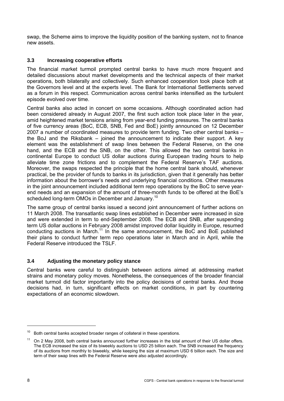swap, the Scheme aims to improve the liquidity position of the banking system, not to finance new assets.

# **3.3 Increasing cooperative efforts**

The financial market turmoil prompted central banks to have much more frequent and detailed discussions about market developments and the technical aspects of their market operations, both bilaterally and collectively. Such enhanced cooperation took place both at the Governors level and at the experts level. The Bank for International Settlements served as a forum in this respect. Communication across central banks intensified as the turbulent episode evolved over time.

Central banks also acted in concert on some occasions. Although coordinated action had been considered already in August 2007, the first such action took place later in the year, amid heightened market tensions arising from year-end funding pressures. The central banks of five currency areas (BoC, ECB, SNB, Fed and BoE) jointly announced on 12 December 2007 a number of coordinated measures to provide term funding. Two other central banks – the BoJ and the Riksbank – joined the announcement to indicate their support. A key element was the establishment of swap lines between the Federal Reserve, on the one hand, and the ECB and the SNB, on the other. This allowed the two central banks in continental Europe to conduct US dollar auctions during European trading hours to help alleviate time zone frictions and to complement the Federal Reserve's TAF auctions. Moreover, the swaps respected the principle that the home central bank should, whenever practical, be the provider of funds to banks in its jurisdiction, given that it generally has better information about the borrower's needs and underlying financial conditions. Other measures in the joint announcement included additional term repo operations by the BoC to serve yearend needs and an expansion of the amount of three-month funds to be offered at the BoE's scheduled long-term OMOs in December and January.<sup>10</sup>

The same group of central banks issued a second joint announcement of further actions on 11 March 2008. The transatlantic swap lines established in December were increased in size and were extended in term to end-September 2008. The ECB and SNB, after suspending term US dollar auctions in February 2008 amidst improved dollar liquidity in Europe, resumed conducting auctions in March.<sup>11</sup> In the same announcement, the BoC and BoE published their plans to conduct further term repo operations later in March and in April, while the Federal Reserve introduced the TSLF.

## **3.4 Adjusting the monetary policy stance**

Central banks were careful to distinguish between actions aimed at addressing market strains and monetary policy moves. Nonetheless, the consequences of the broader financial market turmoil did factor importantly into the policy decisions of central banks. And those decisions had, in turn, significant effects on market conditions, in part by countering expectations of an economic slowdown.

 $\overline{a}$ 

 $10<sup>10</sup>$  Both central banks accepted broader ranges of collateral in these operations.

 $11$  On 2 May 2008, both central banks announced further increases in the total amount of their US dollar offers. The ECB increased the size of its biweekly auctions to USD 25 billion each. The SNB increased the frequency of its auctions from monthly to biweekly, while keeping the size at maximum USD 6 billion each. The size and term of their swap lines with the Federal Reserve were also adjusted accordingly.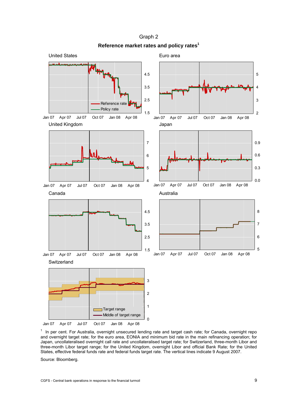

Graph 2 **Reference market rates and policy rates<sup>1</sup>**

1 In per cent. For Australia, overnight unsecured lending rate and target cash rate; for Canada, overnight repo and overnight target rate; for the euro area, EONIA and minimum bid rate in the main refinancing operation; for Japan, uncollateralised overnight call rate and uncollateralised target rate; for Switzerland, three-month Libor and three-month Libor target range; for the United Kingdom, overnight Libor and official Bank Rate; for the United States, effective federal funds rate and federal funds target rate. The vertical lines indicate 9 August 2007.

Source: Bloomberg.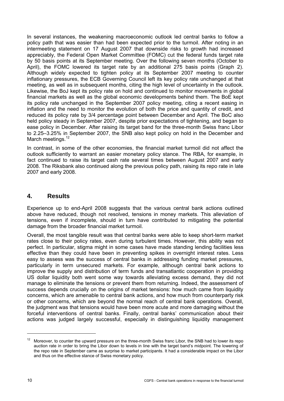In several instances, the weakening macroeconomic outlook led central banks to follow a policy path that was easier than had been expected prior to the turmoil. After noting in an intermeeting statement on 17 August 2007 that downside risks to growth had increased appreciably, the Federal Open Market Committee (FOMC) cut the federal funds target rate by 50 basis points at its September meeting. Over the following seven months (October to April), the FOMC lowered its target rate by an additional 275 basis points (Graph 2). Although widely expected to tighten policy at its September 2007 meeting to counter inflationary pressures, the ECB Governing Council left its key policy rate unchanged at that meeting, as well as in subsequent months, citing the high level of uncertainty in the outlook. Likewise, the BoJ kept its policy rate on hold and continued to monitor movements in global financial markets as well as the global economic developments behind them. The BoE kept its policy rate unchanged in the September 2007 policy meeting, citing a recent easing in inflation and the need to monitor the evolution of both the price and quantity of credit, and reduced its policy rate by 3/4 percentage point between December and April. The BoC also held policy steady in September 2007, despite prior expectations of tightening, and began to ease policy in December. After raising its target band for the three-month Swiss franc Libor to 2.25–3.25% in September 2007, the SNB also kept policy on hold in the December and March meetings.<sup>12</sup>

In contrast, in some of the other economies, the financial market turmoil did not affect the outlook sufficiently to warrant an easier monetary policy stance. The RBA, for example, in fact continued to raise its target cash rate several times between August 2007 and early 2008. The Riksbank also continued along the previous policy path, raising its repo rate in late 2007 and early 2008.

# **4. Results**

Experience up to end-April 2008 suggests that the various central bank actions outlined above have reduced, though not resolved, tensions in money markets. This alleviation of tensions, even if incomplete, should in turn have contributed to mitigating the potential damage from the broader financial market turmoil.

Overall, the most tangible result was that central banks were able to keep short-term market rates close to their policy rates, even during turbulent times. However, this ability was not perfect. In particular, stigma might in some cases have made standing lending facilities less effective than they could have been in preventing spikes in overnight interest rates. Less easy to assess was the success of central banks in addressing funding market pressures, particularly in term unsecured markets. For example, although central bank actions to improve the supply and distribution of term funds and transatlantic cooperation in providing US dollar liquidity both went some way towards alleviating excess demand, they did not manage to eliminate the tensions or prevent them from returning. Indeed, the assessment of success depends crucially on the origins of market tensions: how much came from liquidity concerns, which are amenable to central bank actions, and how much from counterparty risk or other concerns, which are beyond the normal reach of central bank operations. Overall, the judgment was that tensions would have been more acute and more damaging without the forceful interventions of central banks. Finally, central banks' communication about their actions was judged largely successful, especially in distinguishing liquidity management

<sup>&</sup>lt;sup>12</sup> Moreover, to counter the upward pressure on the three-month Swiss franc Libor, the SNB had to lower its repo auction rate in order to bring the Libor down to levels in line with the target band's midpoint. The lowering of the repo rate in September came as surprise to market participants. It had a considerable impact on the Libor and thus on the effective stance of Swiss monetary policy.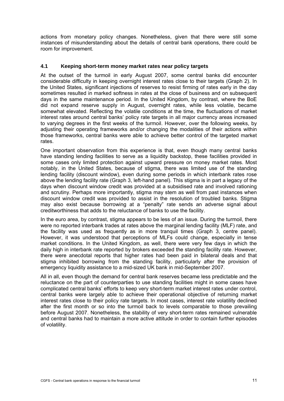actions from monetary policy changes. Nonetheless, given that there were still some instances of misunderstanding about the details of central bank operations, there could be room for improvement.

#### **4.1 Keeping short-term money market rates near policy targets**

At the outset of the turmoil in early August 2007, some central banks did encounter considerable difficulty in keeping overnight interest rates close to their targets (Graph 2). In the United States, significant injections of reserves to resist firming of rates early in the day sometimes resulted in marked softness in rates at the close of business and on subsequent days in the same maintenance period. In the United Kingdom, by contrast, where the BoE did not expand reserve supply in August, overnight rates, while less volatile, became somewhat elevated. Reflecting the volatile conditions at the time, the fluctuations of market interest rates around central banks' policy rate targets in all major currency areas increased to varying degrees in the first weeks of the turmoil. However, over the following weeks, by adjusting their operating frameworks and/or changing the modalities of their actions within those frameworks, central banks were able to achieve better control of the targeted market rates.

One important observation from this experience is that, even though many central banks have standing lending facilities to serve as a liquidity backstop, these facilities provided in some cases only limited protection against upward pressure on money market rates. Most notably, in the United States, because of stigma, there was limited use of the standing lending facility (discount window), even during some periods in which interbank rates rose above the lending facility rate (Graph 3, left-hand panel). This stigma is in part a legacy of the days when discount window credit was provided at a subsidised rate and involved rationing and scrutiny. Perhaps more importantly, stigma may stem as well from past instances when discount window credit was provided to assist in the resolution of troubled banks. Stigma may also exist because borrowing at a "penalty" rate sends an adverse signal about creditworthiness that adds to the reluctance of banks to use the facility.

In the euro area, by contrast, stigma appears to be less of an issue. During the turmoil, there were no reported interbank trades at rates above the marginal lending facility (MLF) rate, and the facility was used as frequently as in more tranquil times (Graph 3, centre panel). However, it was understood that perceptions of MLFs could change, especially in tense market conditions. In the United Kingdom, as well, there were very few days in which the daily high in interbank rate reported by brokers exceeded the standing facility rate. However, there were anecdotal reports that higher rates had been paid in bilateral deals and that stigma inhibited borrowing from the standing facility, particularly after the provision of emergency liquidity assistance to a mid-sized UK bank in mid-September 2007.

All in all, even though the demand for central bank reserves became less predictable and the reluctance on the part of counterparties to use standing facilities might in some cases have complicated central banks' efforts to keep very short-term market interest rates under control, central banks were largely able to achieve their operational objective of returning market interest rates close to their policy rate targets. In most cases, interest rate volatility declined after the first month or so into the turmoil back to levels comparable to those prevailing before August 2007. Nonetheless, the stability of very short-term rates remained vulnerable and central banks had to maintain a more active attitude in order to contain further episodes of volatility.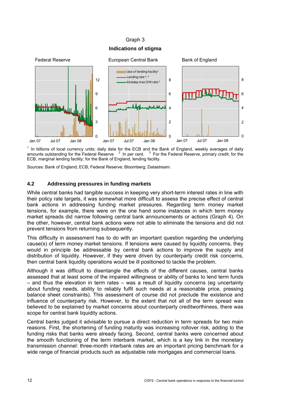#### Graph 3

# **Indications of stigma**



 $1$  In billions of local currency units; daily data for the ECB and the Bank of England, weekly averages of daily amounts outstanding for the Federal Reserve  $2\,$  In per cent.  $3\,$  For the Federal Reserve, primary credit; for the ECB, marginal lending facility; for the Bank of England, lending facility.

Sources: Bank of England; ECB; Federal Reserve; Bloomberg; Datastream.

#### **4.2 Addressing pressures in funding markets**

While central banks had tangible success in keeping very short-term interest rates in line with their policy rate targets, it was somewhat more difficult to assess the precise effect of central bank actions in addressing funding market pressures. Regarding term money market tensions, for example, there were on the one hand some instances in which term money market spreads did narrow following central bank announcements or actions (Graph 4). On the other, however, central bank actions were not able to eliminate the tensions and did not prevent tensions from returning subsequently.

This difficulty in assessment has to do with an important question regarding the underlying cause(s) of term money market tensions. If tensions were caused by liquidity concerns, they would in principle be addressable by central bank actions to improve the supply and distribution of liquidity. However, if they were driven by counterparty credit risk concerns, then central bank liquidity operations would be ill positioned to tackle the problem.

Although it was difficult to disentangle the effects of the different causes, central banks assessed that at least some of the impaired willingness or ability of banks to lend term funds – and thus the elevation in term rates – was a result of liquidity concerns (eg uncertainty about funding needs, ability to reliably fulfil such needs at a reasonable price, pressing balance sheet constraints). This assessment of course did not preclude the existence and influence of counterparty risk. However, to the extent that not all of the term spread was believed to be explained by market concerns about counterparty creditworthiness, there was scope for central bank liquidity actions.

Central banks judged it advisable to pursue a direct reduction in term spreads for two main reasons. First, the shortening of funding maturity was increasing rollover risk, adding to the funding risks that banks were already facing. Second, central banks were concerned about the smooth functioning of the term interbank market, which is a key link in the monetary transmission channel: three-month interbank rates are an important pricing benchmark for a wide range of financial products such as adjustable rate mortgages and commercial loans.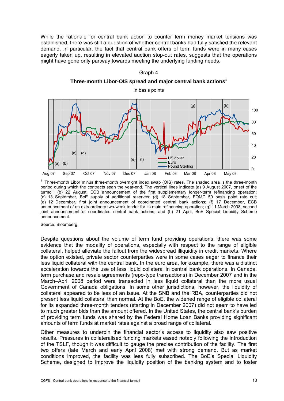While the rationale for central bank action to counter term money market tensions was established, there was still a question of whether central banks had fully satisfied the relevant demand. In particular, the fact that central bank offers of term funds were in many cases eagerly taken up, resulting in elevated auction stop-out rates, suggests that the operations might have gone only partway towards meeting the underlying funding needs.

#### Graph 4

#### **Three-month Libor-OIS spread and major central bank actions1**



<sup>1</sup> Three-month Libor minus three-month overnight index swap (OIS) rates. The shaded area is the three-month period during which the contracts span the year-end. The vertical lines indicate (a) 9 August 2007, onset of the turmoil; (b) 22 August, ECB announcement of the first supplementary longer-term refinancing operation; (c) 13 September, BoE supply of additional reserves; (d) 18 September, FOMC 50 basis point rate cut; (e) 12 December, first joint announcement of coordinated central bank actions; (f) 17 December, ECB announcement of an extraordinary two-week tender for its main refinancing operation; (g) 11 March 2008, second joint announcement of coordinated central bank actions; and (h) 21 April, BoE Special Liquidity Scheme announcement.

Source: Bloomberg.

Despite questions about the volume of term fund providing operations, there was some evidence that the modality of operations, especially with respect to the range of eligible collateral, helped alleviate the fallout from the widespread illiquidity in credit markets. Where the option existed, private sector counterparties were in some cases eager to finance their less liquid collateral with the central bank. In the euro area, for example, there was a distinct acceleration towards the use of less liquid collateral in central bank operations. In Canada, term purchase and resale agreements (repo-type transactions) in December 2007 and in the March–April 2008 period were transacted in less liquid collateral than the more usual Government of Canada obligations. In some other jurisdictions, however, the liquidity of collateral appeared to be less of an issue. At the SNB and the RBA, counterparties did not present less liquid collateral than normal. At the BoE, the widened range of eligible collateral for its expanded three-month tenders (starting in December 2007) did not seem to have led to much greater bids than the amount offered. In the United States, the central bank's burden of providing term funds was shared by the Federal Home Loan Banks providing significant amounts of term funds at market rates against a broad range of collateral.

Other measures to underpin the financial sector's access to liquidity also saw positive results. Pressures in collateralised funding markets eased notably following the introduction of the TSLF, though it was difficult to gauge the precise contribution of the facility. The first two offers (late March and early April 2008) met with strong demand. But as market conditions improved, the facility was less fully subscribed. The BoE's Special Liquidity Scheme, designed to improve the liquidity position of the banking system and to foster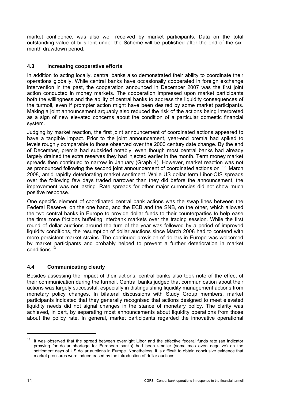market confidence, was also well received by market participants. Data on the total outstanding value of bills lent under the Scheme will be published after the end of the sixmonth drawdown period.

# **4.3 Increasing cooperative efforts**

In addition to acting locally, central banks also demonstrated their ability to coordinate their operations globally. While central banks have occasionally cooperated in foreign exchange intervention in the past, the cooperation announced in December 2007 was the first joint action conducted in money markets. The cooperation impressed upon market participants both the willingness and the ability of central banks to address the liquidity consequences of the turmoil, even if prompter action might have been desired by some market participants. Making a joint announcement arguably also reduced the risk of the actions being interpreted as a sign of new elevated concerns about the condition of a particular domestic financial system.

Judging by market reaction, the first joint announcement of coordinated actions appeared to have a tangible impact. Prior to the joint announcement, year-end premia had spiked to levels roughly comparable to those observed over the 2000 century date change. By the end of December, premia had subsided notably, even though most central banks had already largely drained the extra reserves they had injected earlier in the month. Term money market spreads then continued to narrow in January (Graph 4). However, market reaction was not as pronounced following the second joint announcement of coordinated actions on 11 March 2008, amid rapidly deteriorating market sentiment. While US dollar term Libor-OIS spreads over the following few days traded narrower than they did before the announcement, the improvement was not lasting. Rate spreads for other major currencies did not show much positive response.

One specific element of coordinated central bank actions was the swap lines between the Federal Reserve, on the one hand, and the ECB and the SNB, on the other, which allowed the two central banks in Europe to provide dollar funds to their counterparties to help ease the time zone frictions buffeting interbank markets over the trading session. While the first round of dollar auctions around the turn of the year was followed by a period of improved liquidity conditions, the resumption of dollar auctions since March 2008 had to contend with more persistent market strains. The continued provision of dollars in Europe was welcomed by market participants and probably helped to prevent a further deterioration in market conditions.<sup>1</sup>

## **4.4 Communicating clearly**

Besides assessing the impact of their actions, central banks also took note of the effect of their communication during the turmoil. Central banks judged that communication about their actions was largely successful, especially in distinguishing liquidity management actions from monetary policy changes. In bilateral discussions with Study Group members, market participants indicated that they generally recognised that actions designed to meet elevated liquidity needs did not signal changes in the stance of monetary policy. The clarity was achieved, in part, by separating most announcements about liquidity operations from those about the policy rate. In general, market participants regarded the innovative operational

 $13$  It was observed that the spread between overnight Libor and the effective federal funds rate (an indicator proxying for dollar shortage for European banks) had been smaller (sometimes even negative) on the settlement days of US dollar auctions in Europe. Nonetheless, it is difficult to obtain conclusive evidence that market pressures were indeed eased by the introduction of dollar auctions.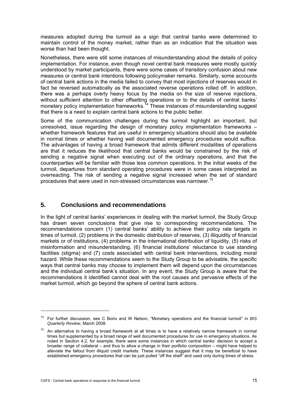measures adopted during the turmoil as a sign that central banks were determined to maintain control of the money market, rather than as an indication that the situation was worse than had been thought.

Nonetheless, there were still some instances of misunderstanding about the details of policy implementation. For instance, even though novel central bank measures were mostly quickly understood by market participants, there were some cases of transitory confusion about new measures or central bank intentions following policymaker remarks. Similarly, some accounts of central bank actions in the media failed to convey that most injections of reserves would in fact be reversed automatically as the associated reverse operations rolled off. In addition, there was a perhaps overly heavy focus by the media on the size of reserve injections, without sufficient attention to other offsetting operations or to the details of central banks' monetary policy implementation frameworks.<sup>14</sup> These instances of misunderstanding suggest that there is a need to explain central bank actions to the public better.

Some of the communication challenges during the turmoil highlight an important, but unresolved, issue regarding the design of monetary policy implementation frameworks – whether framework features that are useful in emergency situations should also be available in normal times or whether having well documented emergency procedures would suffice. The advantages of having a broad framework that admits different modalities of operations are that it reduces the likelihood that central banks would be constrained by the risk of sending a negative signal when executing out of the ordinary operations, and that the counterparties will be familiar with those less common operations. In the initial weeks of the turmoil, departures from standard operating procedures were in some cases interpreted as overreacting. The risk of sending a negative signal increased when the set of standard procedures that were used in non-stressed circumstances was narrower.15

# **5. Conclusions and recommendations**

In the light of central banks' experiences in dealing with the market turmoil, the Study Group has drawn seven conclusions that give rise to corresponding recommendations. The recommendations concern (1) central banks' ability to achieve their policy rate targets in times of turmoil, (2) problems in the domestic distribution of reserves, (3) illiquidity of financial markets or of institutions, (4) problems in the international distribution of liquidity, (5) risks of misinformation and misunderstanding, (6) financial institutions' reluctance to use standing facilities (stigma) and (7) costs associated with central bank interventions, including moral hazard. While these recommendations seem to the Study Group to be advisable, the specific ways that central banks may choose to implement them will depend upon the circumstances and the individual central bank's situation. In any event, the Study Group is aware that the recommendations it identified cannot deal with the root causes and pervasive effects of the market turmoil, which go beyond the sphere of central bank actions.

-

<sup>14</sup> For further discussion, see C Borio and W Nelson, "Monetary operations and the financial turmoil" in *BIS Quarterly Review*, March 2008.

<sup>15</sup> An alternative to having a broad framework at all times is to have a relatively narrow framework in normal times but supplemented by a broad range of well documented procedures for use in emergency situations. As noted in Section 4.2, for example, there were some instances in which central banks' decision to accept a broader range of collateral – and thus to allow a change in their portfolio composition – might have helped to alleviate the fallout from illiquid credit markets. These instances suggest that it may be beneficial to have established emergency procedures that can be just pulled "off the shelf" and used only during times of stress.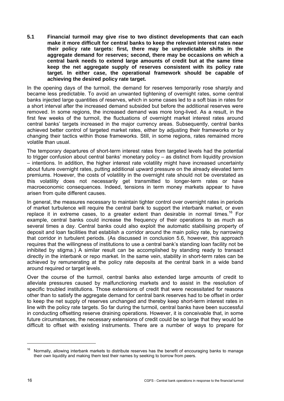**5.1 Financial turmoil may give rise to two distinct developments that can each make it more difficult for central banks to keep the relevant interest rates near their policy rate targets: first, there may be unpredictable shifts in the aggregate demand for reserves; second, there may be occasions on which a central bank needs to extend large amounts of credit but at the same time keep the net aggregate supply of reserves consistent with its policy rate target. In either case, the operational framework should be capable of achieving the desired policy rate target.** 

In the opening days of the turmoil, the demand for reserves temporarily rose sharply and became less predictable. To avoid an unwanted tightening of overnight rates, some central banks injected large quantities of reserves, which in some cases led to a soft bias in rates for a short interval after the increased demand subsided but before the additional reserves were removed. In some regions, the increased demand was more long-lived. As a result, in the first few weeks of the turmoil, the fluctuations of overnight market interest rates around central banks' targets increased in the major currency areas. Subsequently, central banks achieved better control of targeted market rates, either by adjusting their frameworks or by changing their tactics within those frameworks. Still, in some regions, rates remained more volatile than usual.

The temporary departures of short-term interest rates from targeted levels had the potential to trigger confusion about central banks' monetary policy – as distinct from liquidity provision – intentions. In addition, the higher interest rate volatility might have increased uncertainty about future overnight rates, putting additional upward pressure on the already elevated term premiums. However, the costs of volatility in the overnight rate should not be overstated as this volatility does not necessarily get transmitted to longer-term rates or have macroeconomic consequences. Indeed, tensions in term money markets appear to have arisen from quite different causes.

In general, the measures necessary to maintain tighter control over overnight rates in periods of market turbulence will require the central bank to support the interbank market, or even replace it in extreme cases, to a greater extent than desirable in normal times.<sup>16</sup> For example, central banks could increase the frequency of their operations to as much as several times a day. Central banks could also exploit the automatic stabilising property of deposit and loan facilities that establish a corridor around the main policy rate, by narrowing that corridor in turbulent periods. (As discussed in conclusion 5.6, however, this approach requires that the willingness of institutions to use a central bank's standing loan facility not be inhibited by stigma.) A similar result can be accomplished by standing ready to transact directly in the interbank or repo market. In the same vein, stability in short-term rates can be achieved by remunerating at the policy rate deposits at the central bank in a wide band around required or target levels.

Over the course of the turmoil, central banks also extended large amounts of credit to alleviate pressures caused by malfunctioning markets and to assist in the resolution of specific troubled institutions. Those extensions of credit that were necessitated for reasons other than to satisfy the aggregate demand for central bank reserves had to be offset in order to keep the net supply of reserves unchanged and thereby keep short-term interest rates in line with the policy rate targets. So far during the turmoil, central banks have been successful in conducting offsetting reserve draining operations. However, it is conceivable that, in some future circumstances, the necessary extensions of credit could be so large that they would be difficult to offset with existing instruments. There are a number of ways to prepare for

Normally, allowing interbank markets to distribute reserves has the benefit of encouraging banks to manage their own liquidity and making them test their names by seeking to borrow from peers.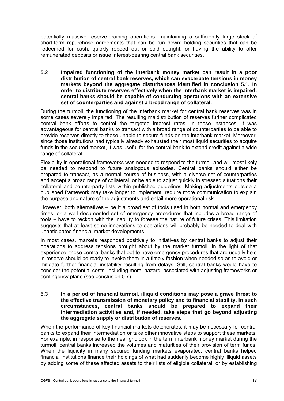potentially massive reserve-draining operations: maintaining a sufficiently large stock of short-term repurchase agreements that can be run down; holding securities that can be redeemed for cash, quickly repoed out or sold outright; or having the ability to offer remunerated deposits or issue interest-bearing central bank securities.

**5.2 Impaired functioning of the interbank money market can result in a poor distribution of central bank reserves, which can exacerbate tensions in money markets beyond the aggregate disturbances identified in conclusion 5.1. In order to distribute reserves effectively when the interbank market is impaired, central banks should be capable of conducting operations with an extensive set of counterparties and against a broad range of collateral.** 

During the turmoil, the functioning of the interbank market for central bank reserves was in some cases severely impaired. The resulting maldistribution of reserves further complicated central bank efforts to control the targeted interest rates. In those instances, it was advantageous for central banks to transact with a broad range of counterparties to be able to provide reserves directly to those unable to secure funds on the interbank market. Moreover, since those institutions had typically already exhausted their most liquid securities to acquire funds in the secured market, it was useful for the central bank to extend credit against a wide range of collateral.

Flexibility in operational frameworks was needed to respond to the turmoil and will most likely be needed to respond to future analogous episodes. Central banks should either be prepared to transact, as a normal course of business, with a diverse set of counterparties and accept a broad range of collateral, or be able to adjust quickly in stressed situations their collateral and counterparty lists within published guidelines. Making adjustments outside a published framework may take longer to implement, require more communication to explain the purpose and nature of the adjustments and entail more operational risk.

However, both alternatives – be it a broad set of tools used in both normal and emergency times, or a well documented set of emergency procedures that includes a broad range of tools – have to reckon with the inability to foresee the nature of future crises. This limitation suggests that at least some innovations to operations will probably be needed to deal with unanticipated financial market developments.

In most cases, markets responded positively to initiatives by central banks to adjust their operations to address tensions brought about by the market turmoil. In the light of that experience, those central banks that opt to have emergency procedures that are usually held in reserve should be ready to invoke them in a timely fashion when needed so as to avoid or mitigate further financial instability resulting from delays. Still, central banks would have to consider the potential costs, including moral hazard, associated with adjusting frameworks or contingency plans (see conclusion 5.7).

#### **5.3 In a period of financial turmoil, illiquid conditions may pose a grave threat to the effective transmission of monetary policy and to financial stability. In such circumstances, central banks should be prepared to expand their intermediation activities and, if needed, take steps that go beyond adjusting the aggregate supply or distribution of reserves.**

When the performance of key financial markets deteriorates, it may be necessary for central banks to expand their intermediation or take other innovative steps to support these markets. For example, in response to the near gridlock in the term interbank money market during the turmoil, central banks increased the volumes and maturities of their provision of term funds. When the liquidity in many secured funding markets evaporated, central banks helped financial institutions finance their holdings of what had suddenly become highly illiquid assets by adding some of these affected assets to their lists of eligible collateral, or by establishing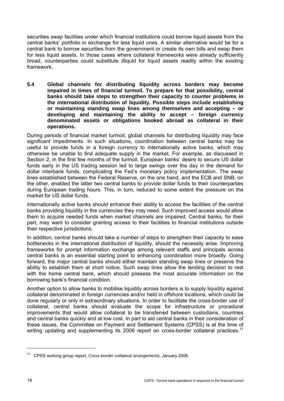securities swap facilities under which financial institutions could borrow liquid assets from the central banks' portfolio in exchange for less liquid ones. A similar alternative would be for a central bank to borrow securities from the government or create its own bills and swap them for less liquid assets. In those cases where collateral frameworks were already sufficiently broad, counterparties could substitute illiquid for liquid assets readily within the existing framework.

**5.4 Global channels for distributing liquidity across borders may become impaired in times of financial turmoil. To prepare for that possibility, central banks should take steps to strengthen their capacity to counter problems in the international distribution of liquidity. Possible steps include establishing or maintaining standing swap lines among themselves and accepting – or developing and maintaining the ability to accept – foreign currency denominated assets or obligations booked abroad as collateral in their operations.** 

During periods of financial market turmoil, global channels for distributing liquidity may face significant impediments. In such situations, coordination between central banks may be useful to provide funds in a foreign currency to internationally active banks, which may otherwise be unable to find adequate supply in the market. For example, as discussed in Section 2, in the first few months of the turmoil, European banks' desire to secure US dollar funds early in the US trading session led to large swings over the day in the demand for dollar interbank funds, complicating the Fed's monetary policy implementation. The swap lines established between the Federal Reserve, on the one hand, and the ECB and SNB, on the other, enabled the latter two central banks to provide dollar funds to their counterparties during European trading hours. This, in turn, reduced to some extent the pressure on the market for US dollar funds.

Internationally active banks should enhance their ability to access the facilities of the central banks providing liquidity in the currencies they may need. Such improved access would allow them to acquire needed funds when market channels are impaired. Central banks, for their part, may want to consider granting access to their facilities to financial institutions outside their respective jurisdictions.

In addition, central banks should take a number of steps to strengthen their capacity to ease bottlenecks in the international distribution of liquidity, should the necessity arise. Improving frameworks for prompt information exchange among relevant staffs and principals across central banks is an essential starting point to enhancing coordination more broadly. Going forward, the major central banks should either maintain standing swap lines or preserve the ability to establish them at short notice. Such swap lines allow the lending decision to rest with the home central bank, which should possess the most accurate information on the borrowing bank's financial condition.

Another option to allow banks to mobilise liquidity across borders is to supply liquidity against collateral denominated in foreign currencies and/or held in offshore locations, which could be done regularly or only in extraordinary situations. In order to facilitate the cross-border use of collateral, central banks should evaluate the scope for infrastructure or procedural improvements that would allow collateral to be transferred between custodians, countries and central banks quickly and at low cost. In part to aid central banks in their consideration of these issues, the Committee on Payment and Settlement Systems (CPSS) is at the time of writing updating and supplementing its 2006 report on cross-border collateral practices.<sup>17</sup>

<sup>17</sup> CPSS working group report, *Cross-border collateral arrangements*, January 2006.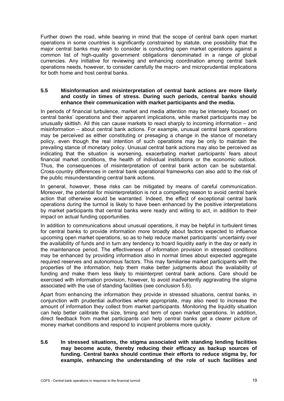Further down the road, while bearing in mind that the scope of central bank open market operations in some countries is significantly constrained by statute, one possibility that the major central banks may wish to consider is conducting open market operations against a common list of high-quality government obligations denominated in a range of global currencies. Any initiative for reviewing and enhancing coordination among central bank operations needs, however, to consider carefully the macro- and microprudential implications for both home and host central banks.

#### **5.5 Misinformation and misinterpretation of central bank actions are more likely and costly in times of stress. During such periods, central banks should enhance their communication with market participants and the media.**

In periods of financial turbulence, market and media attention may be intensely focused on central banks' operations and their apparent implications, while market participants may be unusually skittish. All this can cause markets to react sharply to incoming information – and misinformation – about central bank actions. For example, unusual central bank operations may be perceived as either constituting or presaging a change in the stance of monetary policy, even though the real intention of such operations may be only to maintain the prevailing stance of monetary policy. Unusual central bank actions may also be perceived as indicating that the situation is worsening, exacerbating market participants' fears about financial market conditions, the health of individual institutions or the economic outlook. Thus, the consequences of misinterpretation of central bank action can be substantial. Cross-country differences in central bank operational frameworks can also add to the risk of the public misunderstanding central bank actions.

In general, however, these risks can be mitigated by means of careful communication. Moreover, the potential for misinterpretation is not a compelling reason to avoid central bank action that otherwise would be warranted. Indeed, the effect of exceptional central bank operations during the turmoil is likely to have been enhanced by the positive interpretations by market participants that central banks were ready and willing to act, in addition to their impact on actual funding opportunities.

In addition to communications about unusual operations, it may be helpful in turbulent times for central banks to provide information more broadly about factors expected to influence upcoming open market operations, so as to help reduce market participants' uncertainty over the availability of funds and in turn any tendency to hoard liquidity early in the day or early in the maintenance period. The effectiveness of information provision in stressed conditions may be enhanced by providing information also in normal times about expected aggregate required reserves and autonomous factors. This may familiarise market participants with the properties of the information, help them make better judgments about the availability of funding and make them less likely to misinterpret central bank actions. Care should be exercised with information provision, however, to avoid inadvertently aggravating the stigma associated with the use of standing facilities (see conclusion 5.6).

Apart from enhancing the information they provide in stressed situations, central banks, in conjunction with prudential authorities where appropriate, may also need to increase the amount of information they collect from market participants. Monitoring the liquidity situation can help better calibrate the size, timing and term of open market operations. In addition, direct feedback from market participants can help central banks get a clearer picture of money market conditions and respond to incipient problems more quickly.

**5.6 In stressed situations, the stigma associated with standing lending facilities may become acute, thereby reducing their efficacy as backup sources of funding. Central banks should continue their efforts to reduce stigma by, for example, enhancing the understanding of the role of such facilities and**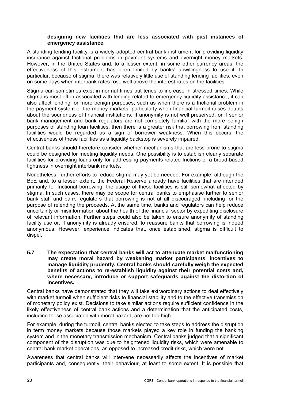#### **designing new facilities that are less associated with past instances of emergency assistance.**

A standing lending facility is a widely adopted central bank instrument for providing liquidity insurance against frictional problems in payment systems and overnight money markets. However, in the United States and, to a lesser extent, in some other currency areas, the effectiveness of this instrument has been limited by banks' unwillingness to use it. In particular, because of stigma, there was relatively little use of standing lending facilities, even on some days when interbank rates rose well above the interest rates on the facilities.

Stigma can sometimes exist in normal times but tends to increase in stressed times. While stigma is most often associated with lending related to emergency liquidity assistance, it can also affect lending for more benign purposes, such as when there is a frictional problem in the payment system or the money markets, particularly when financial turmoil raises doubts about the soundness of financial institutions. If anonymity is not well preserved, or if senior bank management and bank regulators are not completely familiar with the more benign purposes of standing loan facilities, then there is a greater risk that borrowing from standing facilities would be regarded as a sign of borrower weakness. When this occurs, the effectiveness of these facilities as a liquidity backstop is severely impaired.

Central banks should therefore consider whether mechanisms that are less prone to stigma could be designed for meeting liquidity needs. One possibility is to establish clearly separate facilities for providing loans only for addressing payments-related frictions or a broad-based tightness in overnight interbank markets.

Nonetheless, further efforts to reduce stigma may yet be needed. For example, although the BoE and, to a lesser extent, the Federal Reserve already have facilities that are intended primarily for frictional borrowing, the usage of these facilities is still somewhat affected by stigma. In such cases, there may be scope for central banks to emphasise further to senior bank staff and bank regulators that borrowing is not at all discouraged, including for the purpose of relending the proceeds. At the same time, banks and regulators can help reduce uncertainty or misinformation about the health of the financial sector by expediting disclosure of relevant information. Further steps could also be taken to ensure anonymity of standing facility use or, if anonymity is already ensured, to reassure banks that borrowing is indeed anonymous. However, experience indicates that, once established, stigma is difficult to dispel.

**5.7 The expectation that central banks will act to attenuate market malfunctioning may create moral hazard by weakening market participants' incentives to manage liquidity prudently. Central banks should carefully weigh the expected benefits of actions to re-establish liquidity against their potential costs and, where necessary, introduce or support safeguards against the distortion of incentives.** 

Central banks have demonstrated that they will take extraordinary actions to deal effectively with market turmoil when sufficient risks to financial stability and to the effective transmission of monetary policy exist. Decisions to take similar actions require sufficient confidence in the likely effectiveness of central bank actions and a determination that the anticipated costs, including those associated with moral hazard, are not too high.

For example, during the turmoil, central banks elected to take steps to address the disruption in term money markets because those markets played a key role in funding the banking system and in the monetary transmission mechanism. Central banks judged that a significant component of the disruption was due to heightened liquidity risks, which were amenable to central bank market operations, as opposed to increased credit risks, which were not.

Awareness that central banks will intervene necessarily affects the incentives of market participants and, consequently, their behaviour, at least to some extent. It is possible that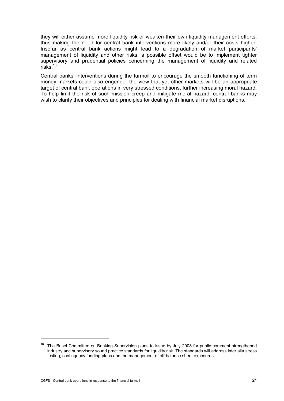they will either assume more liquidity risk or weaken their own liquidity management efforts, thus making the need for central bank interventions more likely and/or their costs higher. Insofar as central bank actions might lead to a degradation of market participants' management of liquidity and other risks, a possible offset would be to implement tighter supervisory and prudential policies concerning the management of liquidity and related risks.18

Central banks' interventions during the turmoil to encourage the smooth functioning of term money markets could also engender the view that yet other markets will be an appropriate target of central bank operations in very stressed conditions, further increasing moral hazard. To help limit the risk of such mission creep and mitigate moral hazard, central banks may wish to clarify their objectives and principles for dealing with financial market disruptions.

<sup>&</sup>lt;sup>18</sup> The Basel Committee on Banking Supervision plans to issue by July 2008 for public comment strengthened industry and supervisory sound practice standards for liquidity risk. The standards will address inter alia stress testing, contingency funding plans and the management of off-balance sheet exposures.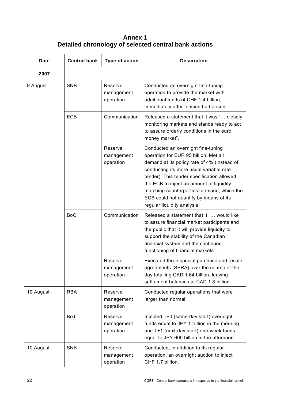**Annex 1 Detailed chronology of selected central bank actions** 

| <b>Date</b> | <b>Central bank</b> | Type of action                     | <b>Description</b>                                                                                                                                                                                                                                                                                                                                                                     |
|-------------|---------------------|------------------------------------|----------------------------------------------------------------------------------------------------------------------------------------------------------------------------------------------------------------------------------------------------------------------------------------------------------------------------------------------------------------------------------------|
| 2007        |                     |                                    |                                                                                                                                                                                                                                                                                                                                                                                        |
| 9 August    | <b>SNB</b>          | Reserve<br>management<br>operation | Conducted an overnight fine-tuning<br>operation to provide the market with<br>additional funds of CHF 1.4 billion,<br>immediately after tension had arisen.                                                                                                                                                                                                                            |
|             | ECB                 | Communication                      | Released a statement that it was " closely<br>monitoring markets and stands ready to act<br>to assure orderly conditions in the euro<br>money market".                                                                                                                                                                                                                                 |
|             |                     | Reserve<br>management<br>operation | Conducted an overnight fine-tuning<br>operation for EUR 95 billion. Met all<br>demand at its policy rate of 4% (instead of<br>conducting its more usual variable rate<br>tender). This tender specification allowed<br>the ECB to inject an amount of liquidity<br>matching counterparties' demand, which the<br>ECB could not quantify by means of its<br>regular liquidity analysis. |
|             | <b>BoC</b>          | Communication                      | Released a statement that it " would like<br>to assure financial market participants and<br>the public that it will provide liquidity to<br>support the stability of the Canadian<br>financial system and the continued<br>functioning of financial markets".                                                                                                                          |
|             |                     | Reserve<br>management<br>operation | Executed three special purchase and resale<br>agreements (SPRA) over the course of the<br>day totalling CAD 1.64 billion, leaving<br>settlement balances at CAD 1.8 billion.                                                                                                                                                                                                           |
| 10 August   | <b>RBA</b>          | Reserve<br>management<br>operation | Conducted regular operations that were<br>larger than normal.                                                                                                                                                                                                                                                                                                                          |
|             | BoJ                 | Reserve<br>management<br>operation | Injected T+0 (same-day start) overnight<br>funds equal to JPY 1 trillion in the morning<br>and T+1 (next-day start) one-week funds<br>equal to JPY 600 billion in the afternoon.                                                                                                                                                                                                       |
| 10 August   | <b>SNB</b>          | Reserve<br>management<br>operation | Conducted, in addition to its regular<br>operation, an overnight auction to inject<br>CHF 1.7 billion.                                                                                                                                                                                                                                                                                 |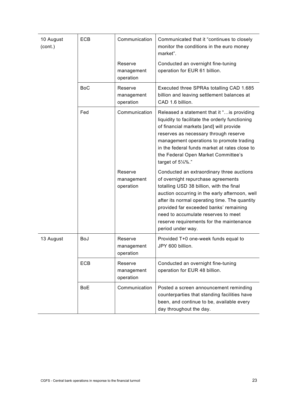| 10 August<br>(cont.) | <b>ECB</b> | Communication                      | Communicated that it "continues to closely<br>monitor the conditions in the euro money<br>market".                                                                                                                                                                                                                                                                               |
|----------------------|------------|------------------------------------|----------------------------------------------------------------------------------------------------------------------------------------------------------------------------------------------------------------------------------------------------------------------------------------------------------------------------------------------------------------------------------|
|                      |            | Reserve<br>management<br>operation | Conducted an overnight fine-tuning<br>operation for EUR 61 billion.                                                                                                                                                                                                                                                                                                              |
|                      | <b>BoC</b> | Reserve<br>management<br>operation | Executed three SPRAs totalling CAD 1.685<br>billion and leaving settlement balances at<br>CAD 1.6 billion.                                                                                                                                                                                                                                                                       |
|                      | Fed        | Communication                      | Released a statement that it " is providing<br>liquidity to facilitate the orderly functioning<br>of financial markets [and] will provide<br>reserves as necessary through reserve<br>management operations to promote trading<br>in the federal funds market at rates close to<br>the Federal Open Market Committee's<br>target of 51/4%."                                      |
|                      |            | Reserve<br>management<br>operation | Conducted an extraordinary three auctions<br>of overnight repurchase agreements<br>totalling USD 38 billion, with the final<br>auction occurring in the early afternoon, well<br>after its normal operating time. The quantity<br>provided far exceeded banks' remaining<br>need to accumulate reserves to meet<br>reserve requirements for the maintenance<br>period under way. |
| 13 August            | <b>BoJ</b> | Reserve<br>management<br>operation | Provided T+0 one-week funds equal to<br>JPY 600 billion.                                                                                                                                                                                                                                                                                                                         |
|                      | ECB        | Reserve<br>management<br>operation | Conducted an overnight fine-tuning<br>operation for EUR 48 billion.                                                                                                                                                                                                                                                                                                              |
|                      | <b>BoE</b> | Communication                      | Posted a screen announcement reminding<br>counterparties that standing facilities have<br>been, and continue to be, available every<br>day throughout the day.                                                                                                                                                                                                                   |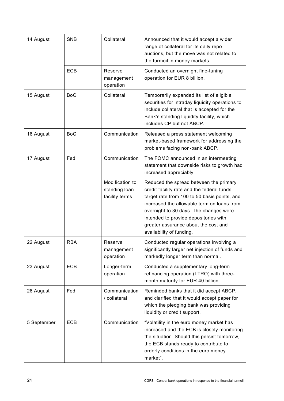| 14 August   | <b>SNB</b> | Collateral                                         | Announced that it would accept a wider<br>range of collateral for its daily repo<br>auctions, but the move was not related to<br>the turmoil in money markets.                                                                                                                                                                            |
|-------------|------------|----------------------------------------------------|-------------------------------------------------------------------------------------------------------------------------------------------------------------------------------------------------------------------------------------------------------------------------------------------------------------------------------------------|
|             | <b>ECB</b> | Reserve<br>management<br>operation                 | Conducted an overnight fine-tuning<br>operation for EUR 8 billion.                                                                                                                                                                                                                                                                        |
| 15 August   | <b>BoC</b> | Collateral                                         | Temporarily expanded its list of eligible<br>securities for intraday liquidity operations to<br>include collateral that is accepted for the<br>Bank's standing liquidity facility, which<br>includes CP but not ABCP.                                                                                                                     |
| 16 August   | <b>BoC</b> | Communication                                      | Released a press statement welcoming<br>market-based framework for addressing the<br>problems facing non-bank ABCP.                                                                                                                                                                                                                       |
| 17 August   | Fed        | Communication                                      | The FOMC announced in an intermeeting<br>statement that downside risks to growth had<br>increased appreciably.                                                                                                                                                                                                                            |
|             |            | Modification to<br>standing loan<br>facility terms | Reduced the spread between the primary<br>credit facility rate and the federal funds<br>target rate from 100 to 50 basis points, and<br>increased the allowable term on loans from<br>overnight to 30 days. The changes were<br>intended to provide depositories with<br>greater assurance about the cost and<br>availability of funding. |
| 22 August   | <b>RBA</b> | Reserve<br>management<br>operation                 | Conducted regular operations involving a<br>significantly larger net injection of funds and<br>markedly longer term than normal.                                                                                                                                                                                                          |
| 23 August   | <b>ECB</b> | Longer-term<br>operation                           | Conducted a supplementary long-term<br>refinancing operation (LTRO) with three-<br>month maturity for EUR 40 billion.                                                                                                                                                                                                                     |
| 26 August   | Fed        | Communication<br>/ collateral                      | Reminded banks that it did accept ABCP,<br>and clarified that it would accept paper for<br>which the pledging bank was providing<br>liquidity or credit support.                                                                                                                                                                          |
| 5 September | <b>ECB</b> | Communication                                      | "Volatility in the euro money market has<br>increased and the ECB is closely monitoring<br>the situation. Should this persist tomorrow,<br>the ECB stands ready to contribute to<br>orderly conditions in the euro money<br>market".                                                                                                      |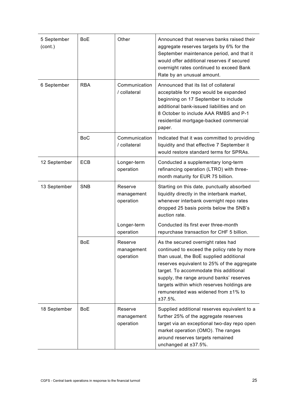| 5 September<br>(cont.) | <b>BoE</b> | Other                              | Announced that reserves banks raised their<br>aggregate reserves targets by 6% for the<br>September maintenance period, and that it<br>would offer additional reserves if secured<br>overnight rates continued to exceed Bank<br>Rate by an unusual amount.                                                                                                       |
|------------------------|------------|------------------------------------|-------------------------------------------------------------------------------------------------------------------------------------------------------------------------------------------------------------------------------------------------------------------------------------------------------------------------------------------------------------------|
| 6 September            | <b>RBA</b> | Communication<br>/ collateral      | Announced that its list of collateral<br>acceptable for repo would be expanded<br>beginning on 17 September to include<br>additional bank-issued liabilities and on<br>8 October to include AAA RMBS and P-1<br>residential mortgage-backed commercial<br>paper.                                                                                                  |
|                        | <b>BoC</b> | Communication<br>/ collateral      | Indicated that it was committed to providing<br>liquidity and that effective 7 September it<br>would restore standard terms for SPRAs.                                                                                                                                                                                                                            |
| 12 September           | <b>ECB</b> | Longer-term<br>operation           | Conducted a supplementary long-term<br>refinancing operation (LTRO) with three-<br>month maturity for EUR 75 billion.                                                                                                                                                                                                                                             |
| 13 September           | <b>SNB</b> | Reserve<br>management<br>operation | Starting on this date, punctually absorbed<br>liquidity directly in the interbank market,<br>whenever interbank overnight repo rates<br>dropped 25 basis points below the SNB's<br>auction rate.                                                                                                                                                                  |
|                        |            | Longer-term<br>operation           | Conducted its first ever three-month<br>repurchase transaction for CHF 5 billion.                                                                                                                                                                                                                                                                                 |
|                        | <b>BoE</b> | Reserve<br>management<br>operation | As the secured overnight rates had<br>continued to exceed the policy rate by more<br>than usual, the BoE supplied additional<br>reserves equivalent to 25% of the aggregate<br>target. To accommodate this additional<br>supply, the range around banks' reserves<br>targets within which reserves holdings are<br>remunerated was widened from ±1% to<br>±37.5%. |
| 18 September           | <b>BoE</b> | Reserve<br>management<br>operation | Supplied additional reserves equivalent to a<br>further 25% of the aggregate reserves<br>target via an exceptional two-day repo open<br>market operation (OMO). The ranges<br>around reserves targets remained<br>unchanged at ±37.5%.                                                                                                                            |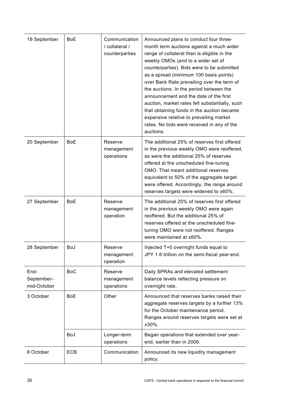| 19 September                      | <b>BoE</b> | Communication<br>/ collateral /<br>counterparties | Announced plans to conduct four three-<br>month term auctions against a much wider<br>range of collateral than is eligible in the<br>weekly OMOs (and to a wider set of<br>counterparties). Bids were to be submitted<br>as a spread (minimum 100 basis points)<br>over Bank Rate prevailing over the term of<br>the auctions. In the period between the<br>announcement and the date of the first<br>auction, market rates fell substantially, such<br>that obtaining funds in the auction became<br>expensive relative to prevailing market<br>rates. No bids were received in any of the<br>auctions. |
|-----------------------------------|------------|---------------------------------------------------|----------------------------------------------------------------------------------------------------------------------------------------------------------------------------------------------------------------------------------------------------------------------------------------------------------------------------------------------------------------------------------------------------------------------------------------------------------------------------------------------------------------------------------------------------------------------------------------------------------|
| 20 September                      | <b>BoE</b> | Reserve<br>management<br>operations               | The additional 25% of reserves first offered<br>in the previous weekly OMO were reoffered,<br>as were the additional 25% of reserves<br>offered at the unscheduled fine-tuning<br>OMO. That meant additional reserves<br>equivalent to 50% of the aggregate target<br>were offered. Accordingly, the range around<br>reserves targets were widened to ±60%.                                                                                                                                                                                                                                              |
| 27 September                      | <b>BoE</b> | Reserve<br>management<br>operation                | The additional 25% of reserves first offered<br>in the previous weekly OMO were again<br>reoffered. But the additional 25% of<br>reserves offered at the unscheduled fine-<br>tuning OMO were not reoffered. Ranges<br>were maintained at ±60%.                                                                                                                                                                                                                                                                                                                                                          |
| 28 September                      | BoJ        | Reserve<br>management<br>operation                | Injected T+0 overnight funds equal to<br>JPY 1.6 trillion on the semi-fiscal year-end.                                                                                                                                                                                                                                                                                                                                                                                                                                                                                                                   |
| End-<br>September-<br>mid-October | <b>BoC</b> | Reserve<br>management<br>operations               | Daily SPRAs and elevated settlement<br>balance levels reflecting pressure on<br>overnight rate.                                                                                                                                                                                                                                                                                                                                                                                                                                                                                                          |
| 3 October                         | <b>BoE</b> | Other                                             | Announced that reserves banks raised their<br>aggregate reserves targets by a further 13%<br>for the October maintenance period.<br>Ranges around reserves targets were set at<br>±30%.                                                                                                                                                                                                                                                                                                                                                                                                                  |
|                                   | BoJ        | Longer-term<br>operations                         | Began operations that extended over year-<br>end, earlier than in 2006.                                                                                                                                                                                                                                                                                                                                                                                                                                                                                                                                  |
| 8 October                         | <b>ECB</b> | Communication                                     | Announced its new liquidity management<br>policy.                                                                                                                                                                                                                                                                                                                                                                                                                                                                                                                                                        |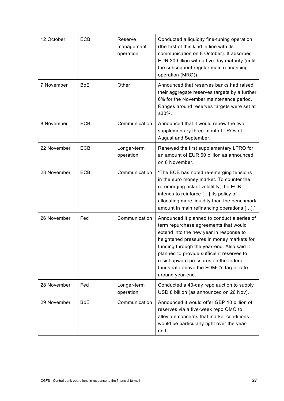| 12 October  | ECB        | Reserve<br>management<br>operation | Conducted a liquidity fine-tuning operation<br>(the first of this kind in line with its<br>communication on 8 October). It absorbed<br>EUR 30 billion with a five-day maturity (until<br>the subsequent regular main refinancing<br>operation (MRO)).                                                                                                                            |
|-------------|------------|------------------------------------|----------------------------------------------------------------------------------------------------------------------------------------------------------------------------------------------------------------------------------------------------------------------------------------------------------------------------------------------------------------------------------|
| 7 November  | <b>BoE</b> | Other                              | Announced that reserves banks had raised<br>their aggregate reserves targets by a further<br>6% for the November maintenance period.<br>Ranges around reserves targets were set at<br>$±30\%$ .                                                                                                                                                                                  |
| 8 November  | <b>ECB</b> | Communication                      | Announced that it would renew the two<br>supplementary three-month LTROs of<br>August and September.                                                                                                                                                                                                                                                                             |
| 22 November | ECB        | Longer-term<br>operation           | Renewed the first supplementary LTRO for<br>an amount of EUR 60 billion as announced<br>on 8 November.                                                                                                                                                                                                                                                                           |
| 23 November | <b>ECB</b> | Communication                      | "The ECB has noted re-emerging tensions<br>in the euro money market. To counter the<br>re-emerging risk of volatility, the ECB<br>intends to reinforce [] its policy of<br>allocating more liquidity than the benchmark<br>amount in main refinancing operations []."                                                                                                            |
| 26 November | Fed        | Communication                      | Announced it planned to conduct a series of<br>term repurchase agreements that would<br>extend into the new year in response to<br>heightened pressures in money markets for<br>funding through the year-end. Also said it<br>planned to provide sufficient reserves to<br>resist upward pressures on the federal<br>funds rate above the FOMC's target rate<br>around year-end. |
| 28 November | Fed        | Longer-term<br>operation           | Conducted a 43-day repo auction to supply<br>USD 8 billion (as announced on 26 Nov).                                                                                                                                                                                                                                                                                             |
| 29 November | <b>BoE</b> | Communication                      | Announced it would offer GBP 10 billion of<br>reserves via a five-week repo OMO to<br>alleviate concerns that market conditions<br>would be particularly tight over the year-<br>end.                                                                                                                                                                                            |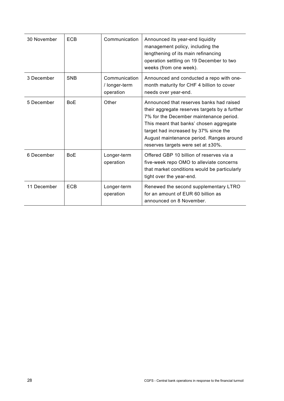| 30 November | <b>ECB</b> | Communication                               | Announced its year-end liquidity<br>management policy, including the<br>lengthening of its main refinancing<br>operation settling on 19 December to two<br>weeks (from one week).                                                                                                                          |
|-------------|------------|---------------------------------------------|------------------------------------------------------------------------------------------------------------------------------------------------------------------------------------------------------------------------------------------------------------------------------------------------------------|
| 3 December  | <b>SNB</b> | Communication<br>/ longer-term<br>operation | Announced and conducted a repo with one-<br>month maturity for CHF 4 billion to cover<br>needs over year-end.                                                                                                                                                                                              |
| 5 December  | <b>BoE</b> | Other                                       | Announced that reserves banks had raised<br>their aggregate reserves targets by a further<br>7% for the December maintenance period.<br>This meant that banks' chosen aggregate<br>target had increased by 37% since the<br>August maintenance period. Ranges around<br>reserves targets were set at ±30%. |
| 6 December  | <b>BoE</b> | Longer-term<br>operation                    | Offered GBP 10 billion of reserves via a<br>five-week repo OMO to alleviate concerns<br>that market conditions would be particularly<br>tight over the year-end.                                                                                                                                           |
| 11 December | <b>ECB</b> | Longer-term<br>operation                    | Renewed the second supplementary LTRO<br>for an amount of EUR 60 billion as<br>announced on 8 November.                                                                                                                                                                                                    |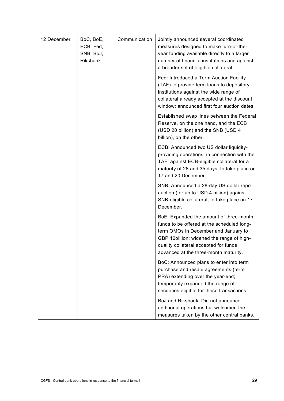| 12 December | BoC, BoE,<br>ECB, Fed,<br>SNB, BoJ,<br>Riksbank | Communication | Jointly announced several coordinated<br>measures designed to make turn-of-the-<br>year funding available directly to a larger<br>number of financial institutions and against<br>a broader set of eligible collateral.                                      |
|-------------|-------------------------------------------------|---------------|--------------------------------------------------------------------------------------------------------------------------------------------------------------------------------------------------------------------------------------------------------------|
|             |                                                 |               | Fed: Introduced a Term Auction Facility<br>(TAF) to provide term loans to depository<br>institutions against the wide range of<br>collateral already accepted at the discount<br>window; announced first four auction dates.                                 |
|             |                                                 |               | Established swap lines between the Federal<br>Reserve, on the one hand, and the ECB<br>(USD 20 billion) and the SNB (USD 4<br>billion), on the other.                                                                                                        |
|             |                                                 |               | ECB: Announced two US dollar liquidity-<br>providing operations, in connection with the<br>TAF, against ECB-eligible collateral for a<br>maturity of 28 and 35 days; to take place on<br>17 and 20 December.                                                 |
|             |                                                 |               | SNB: Announced a 28-day US dollar repo<br>auction (for up to USD 4 billion) against<br>SNB-eligible collateral, to take place on 17<br>December.                                                                                                             |
|             |                                                 |               | BoE: Expanded the amount of three-month<br>funds to be offered at the scheduled long-<br>term OMOs in December and January to<br>GBP 10billion; widened the range of high-<br>quality collateral accepted for funds<br>advanced at the three-month maturity. |
|             |                                                 |               | BoC: Announced plans to enter into term<br>purchase and resale agreements (term<br>PRA) extending over the year-end;<br>temporarily expanded the range of<br>securities eligible for these transactions.                                                     |
|             |                                                 |               | BoJ and Riksbank: Did not announce<br>additional operations but welcomed the<br>measures taken by the other central banks.                                                                                                                                   |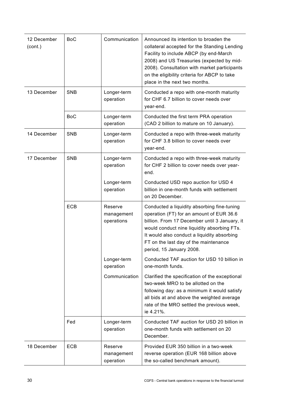| 12 December<br>(cont.) | <b>BoC</b> | Communication                       | Announced its intention to broaden the<br>collateral accepted for the Standing Lending<br>Facility to include ABCP (by end-March<br>2008) and US Treasuries (expected by mid-<br>2008). Consultation with market participants<br>on the eligibility criteria for ABCP to take<br>place in the next two months. |
|------------------------|------------|-------------------------------------|----------------------------------------------------------------------------------------------------------------------------------------------------------------------------------------------------------------------------------------------------------------------------------------------------------------|
| 13 December            | <b>SNB</b> | Longer-term<br>operation            | Conducted a repo with one-month maturity<br>for CHF 6.7 billion to cover needs over<br>year-end.                                                                                                                                                                                                               |
|                        | <b>BoC</b> | Longer-term<br>operation            | Conducted the first term PRA operation<br>(CAD 2 billion to mature on 10 January).                                                                                                                                                                                                                             |
| 14 December            | <b>SNB</b> | Longer-term<br>operation            | Conducted a repo with three-week maturity<br>for CHF 3.8 billion to cover needs over<br>year-end.                                                                                                                                                                                                              |
| 17 December            | <b>SNB</b> | Longer-term<br>operation            | Conducted a repo with three-week maturity<br>for CHF 2 billion to cover needs over year-<br>end.                                                                                                                                                                                                               |
|                        |            | Longer-term<br>operation            | Conducted USD repo auction for USD 4<br>billion in one-month funds with settlement<br>on 20 December.                                                                                                                                                                                                          |
|                        | <b>ECB</b> | Reserve<br>management<br>operations | Conducted a liquidity absorbing fine-tuning<br>operation (FT) for an amount of EUR 36.6<br>billion. From 17 December until 3 January, it<br>would conduct nine liquidity absorbing FTs.<br>It would also conduct a liquidity absorbing<br>FT on the last day of the maintenance<br>period, 15 January 2008.    |
|                        |            | Longer-term<br>operation            | Conducted TAF auction for USD 10 billion in<br>one-month funds.                                                                                                                                                                                                                                                |
|                        |            | Communication                       | Clarified the specification of the exceptional<br>two-week MRO to be allotted on the<br>following day: as a minimum it would satisfy<br>all bids at and above the weighted average<br>rate of the MRO settled the previous week,<br>ie 4.21%.                                                                  |
|                        | Fed        | Longer-term<br>operation            | Conducted TAF auction for USD 20 billion in<br>one-month funds with settlement on 20<br>December.                                                                                                                                                                                                              |
| 18 December            | ECB        | Reserve<br>management<br>operation  | Provided EUR 350 billion in a two-week<br>reverse operation (EUR 168 billion above<br>the so-called benchmark amount).                                                                                                                                                                                         |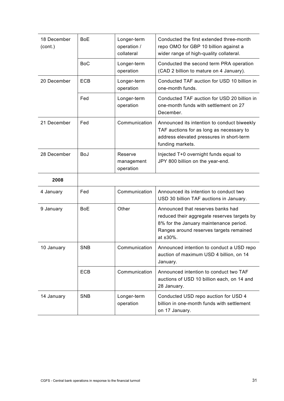| 18 December<br>(cont.) | <b>BoE</b> | Longer-term<br>operation /<br>collateral | Conducted the first extended three-month<br>repo OMO for GBP 10 billion against a<br>wider range of high-quality collateral.                                                      |
|------------------------|------------|------------------------------------------|-----------------------------------------------------------------------------------------------------------------------------------------------------------------------------------|
|                        | <b>BoC</b> | Longer-term<br>operation                 | Conducted the second term PRA operation<br>(CAD 2 billion to mature on 4 January).                                                                                                |
| 20 December            | <b>ECB</b> | Longer-term<br>operation                 | Conducted TAF auction for USD 10 billion in<br>one-month funds.                                                                                                                   |
|                        | Fed        | Longer-term<br>operation                 | Conducted TAF auction for USD 20 billion in<br>one-month funds with settlement on 27<br>December.                                                                                 |
| 21 December            | Fed        | Communication                            | Announced its intention to conduct biweekly<br>TAF auctions for as long as necessary to<br>address elevated pressures in short-term<br>funding markets.                           |
| 28 December            | <b>BoJ</b> | Reserve<br>management<br>operation       | Injected T+0 overnight funds equal to<br>JPY 800 billion on the year-end.                                                                                                         |
|                        |            |                                          |                                                                                                                                                                                   |
| 2008                   |            |                                          |                                                                                                                                                                                   |
| 4 January              | Fed        | Communication                            | Announced its intention to conduct two<br>USD 30 billion TAF auctions in January.                                                                                                 |
| 9 January              | <b>BoE</b> | Other                                    | Announced that reserves banks had<br>reduced their aggregate reserves targets by<br>8% for the January maintenance period.<br>Ranges around reserves targets remained<br>at ±30%. |
| 10 January             | <b>SNB</b> | Communication                            | Announced intention to conduct a USD repo<br>auction of maximum USD 4 billion, on 14<br>January.                                                                                  |
|                        | ECB        | Communication                            | Announced intention to conduct two TAF<br>auctions of USD 10 billion each, on 14 and<br>28 January.                                                                               |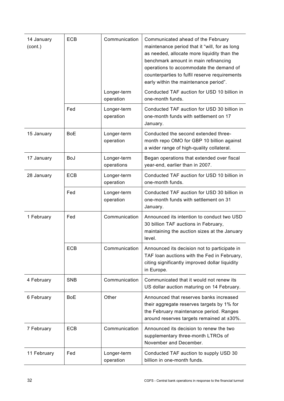| 14 January<br>(cont.) | ECB        | Communication             | Communicated ahead of the February<br>maintenance period that it "will, for as long<br>as needed, allocate more liquidity than the<br>benchmark amount in main refinancing<br>operations to accommodate the demand of<br>counterparties to fulfil reserve requirements<br>early within the maintenance period". |
|-----------------------|------------|---------------------------|-----------------------------------------------------------------------------------------------------------------------------------------------------------------------------------------------------------------------------------------------------------------------------------------------------------------|
|                       |            | Longer-term<br>operation  | Conducted TAF auction for USD 10 billion in<br>one-month funds.                                                                                                                                                                                                                                                 |
|                       | Fed        | Longer-term<br>operation  | Conducted TAF auction for USD 30 billion in<br>one-month funds with settlement on 17<br>January.                                                                                                                                                                                                                |
| 15 January            | <b>BoE</b> | Longer-term<br>operation  | Conducted the second extended three-<br>month repo OMO for GBP 10 billion against<br>a wider range of high-quality collateral.                                                                                                                                                                                  |
| 17 January            | <b>BoJ</b> | Longer-term<br>operations | Began operations that extended over fiscal<br>year-end, earlier than in 2007.                                                                                                                                                                                                                                   |
| 28 January            | ECB        | Longer-term<br>operation  | Conducted TAF auction for USD 10 billion in<br>one-month funds.                                                                                                                                                                                                                                                 |
|                       | Fed        | Longer-term<br>operation  | Conducted TAF auction for USD 30 billion in<br>one-month funds with settlement on 31<br>January.                                                                                                                                                                                                                |
| 1 February            | Fed        | Communication             | Announced its intention to conduct two USD<br>30 billion TAF auctions in February,<br>maintaining the auction sizes at the January<br>level.                                                                                                                                                                    |
|                       | ECB        | Communication             | Announced its decision not to participate in<br>TAF loan auctions with the Fed in February,<br>citing significantly improved dollar liquidity<br>in Europe.                                                                                                                                                     |
| 4 February            | <b>SNB</b> | Communication             | Communicated that it would not renew its<br>US dollar auction maturing on 14 February.                                                                                                                                                                                                                          |
| 6 February            | <b>BoE</b> | Other                     | Announced that reserves banks increased<br>their aggregate reserves targets by 1% for<br>the February maintenance period. Ranges<br>around reserves targets remained at ±30%.                                                                                                                                   |
| 7 February            | ECB        | Communication             | Announced its decision to renew the two<br>supplementary three-month LTROs of<br>November and December.                                                                                                                                                                                                         |
| 11 February           | Fed        | Longer-term<br>operation  | Conducted TAF auction to supply USD 30<br>billion in one-month funds.                                                                                                                                                                                                                                           |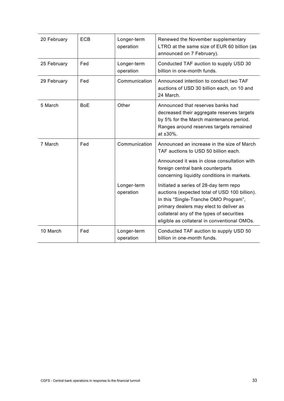| 20 February | <b>ECB</b> | Longer-term<br>operation                  | Renewed the November supplementary<br>LTRO at the same size of EUR 60 billion (as<br>announced on 7 February).                                                                                                                                                                                                                                                                                                                                    |
|-------------|------------|-------------------------------------------|---------------------------------------------------------------------------------------------------------------------------------------------------------------------------------------------------------------------------------------------------------------------------------------------------------------------------------------------------------------------------------------------------------------------------------------------------|
| 25 February | Fed        | Longer-term<br>operation                  | Conducted TAF auction to supply USD 30<br>billion in one-month funds.                                                                                                                                                                                                                                                                                                                                                                             |
| 29 February | Fed        | Communication                             | Announced intention to conduct two TAF<br>auctions of USD 30 billion each, on 10 and<br>24 March.                                                                                                                                                                                                                                                                                                                                                 |
| 5 March     | <b>BoE</b> | Other                                     | Announced that reserves banks had<br>decreased their aggregate reserves targets<br>by 5% for the March maintenance period.<br>Ranges around reserves targets remained<br>at ±30%.                                                                                                                                                                                                                                                                 |
| 7 March     | Fed        | Communication<br>Longer-term<br>operation | Announced an increase in the size of March<br>TAF auctions to USD 50 billion each.<br>Announced it was in close consultation with<br>foreign central bank counterparts<br>concerning liquidity conditions in markets.<br>Initiated a series of 28-day term repo<br>auctions (expected total of USD 100 billion).<br>In this "Single-Tranche OMO Program",<br>primary dealers may elect to deliver as<br>collateral any of the types of securities |
|             |            |                                           | eligible as collateral in conventional OMOs.                                                                                                                                                                                                                                                                                                                                                                                                      |
| 10 March    | Fed        | Longer-term<br>operation                  | Conducted TAF auction to supply USD 50<br>billion in one-month funds.                                                                                                                                                                                                                                                                                                                                                                             |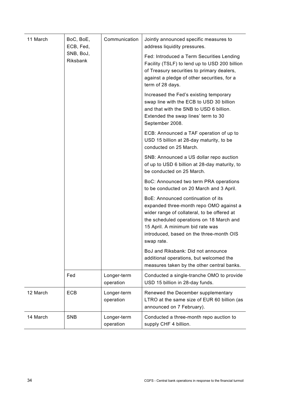| 11 March | BoC, BoE,<br>ECB, Fed, | Communication            | Jointly announced specific measures to<br>address liquidity pressures.                                                                                                                                                                                                 |
|----------|------------------------|--------------------------|------------------------------------------------------------------------------------------------------------------------------------------------------------------------------------------------------------------------------------------------------------------------|
|          | SNB, BoJ,<br>Riksbank  |                          | Fed: Introduced a Term Securities Lending<br>Facility (TSLF) to lend up to USD 200 billion<br>of Treasury securities to primary dealers,<br>against a pledge of other securities, for a<br>term of 28 days.                                                            |
|          |                        |                          | Increased the Fed's existing temporary<br>swap line with the ECB to USD 30 billion<br>and that with the SNB to USD 6 billion.<br>Extended the swap lines' term to 30<br>September 2008.                                                                                |
|          |                        |                          | ECB: Announced a TAF operation of up to<br>USD 15 billion at 28-day maturity, to be<br>conducted on 25 March.                                                                                                                                                          |
|          |                        |                          | SNB: Announced a US dollar repo auction<br>of up to USD 6 billion at 28-day maturity, to<br>be conducted on 25 March.                                                                                                                                                  |
|          |                        |                          | BoC: Announced two term PRA operations<br>to be conducted on 20 March and 3 April.                                                                                                                                                                                     |
|          |                        |                          | BoE: Announced continuation of its<br>expanded three-month repo OMO against a<br>wider range of collateral, to be offered at<br>the scheduled operations on 18 March and<br>15 April. A minimum bid rate was<br>introduced, based on the three-month OIS<br>swap rate. |
|          |                        |                          | BoJ and Riksbank: Did not announce<br>additional operations, but welcomed the<br>measures taken by the other central banks.                                                                                                                                            |
|          | Fed                    | Longer-term<br>operation | Conducted a single-tranche OMO to provide<br>USD 15 billion in 28-day funds.                                                                                                                                                                                           |
| 12 March | ECB                    | Longer-term<br>operation | Renewed the December supplementary<br>LTRO at the same size of EUR 60 billion (as<br>announced on 7 February).                                                                                                                                                         |
| 14 March | SNB                    | Longer-term<br>operation | Conducted a three-month repo auction to<br>supply CHF 4 billion.                                                                                                                                                                                                       |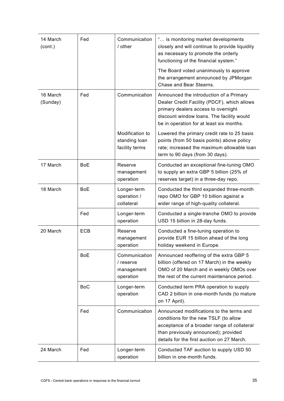| 14 March<br>(cont.)  | Fed        | Communication<br>/ other                              | " is monitoring market developments<br>closely and will continue to provide liquidity<br>as necessary to promote the orderly<br>functioning of the financial system."                                                  |
|----------------------|------------|-------------------------------------------------------|------------------------------------------------------------------------------------------------------------------------------------------------------------------------------------------------------------------------|
|                      |            |                                                       | The Board voted unanimously to approve<br>the arrangement announced by JPMorgan<br>Chase and Bear Stearns.                                                                                                             |
| 16 March<br>(Sunday) | Fed        | Communication                                         | Announced the introduction of a Primary<br>Dealer Credit Facility (PDCF), which allows<br>primary dealers access to overnight<br>discount window loans. The facility would<br>be in operation for at least six months. |
|                      |            | Modification to<br>standing loan<br>facility terms    | Lowered the primary credit rate to 25 basis<br>points (from 50 basis points) above policy<br>rate; increased the maximum allowable loan<br>term to 90 days (from 30 days).                                             |
| 17 March             | <b>BoE</b> | Reserve<br>management<br>operation                    | Conducted an exceptional fine-tuning OMO<br>to supply an extra GBP 5 billion (25% of<br>reserves target) in a three-day repo.                                                                                          |
| 18 March             | <b>BoE</b> | Longer-term<br>operation /<br>collateral              | Conducted the third expanded three-month<br>repo OMO for GBP 10 billion against a<br>wider range of high-quality collateral.                                                                                           |
|                      | Fed        | Longer-term<br>operation                              | Conducted a single-tranche OMO to provide<br>USD 15 billion in 28-day funds.                                                                                                                                           |
| 20 March             | <b>ECB</b> | Reserve<br>management<br>operation                    | Conducted a fine-tuning operation to<br>provide EUR 15 billion ahead of the long<br>holiday weekend in Europe.                                                                                                         |
|                      | <b>BoE</b> | Communication<br>/ reserve<br>management<br>operation | Announced reoffering of the extra GBP 5<br>billion (offered on 17 March) in the weekly<br>OMO of 20 March and in weekly OMOs over<br>the rest of the current maintenance period.                                       |
|                      | <b>BoC</b> | Longer-term<br>operation                              | Conducted term PRA operation to supply<br>CAD 2 billion in one-month funds (to mature<br>on 17 April).                                                                                                                 |
|                      | Fed        | Communication                                         | Announced modifications to the terms and<br>conditions for the new TSLF (to allow<br>acceptance of a broader range of collateral<br>than previously announced); provided<br>details for the first auction on 27 March. |
| 24 March             | Fed        | Longer-term<br>operation                              | Conducted TAF auction to supply USD 50<br>billion in one-month funds.                                                                                                                                                  |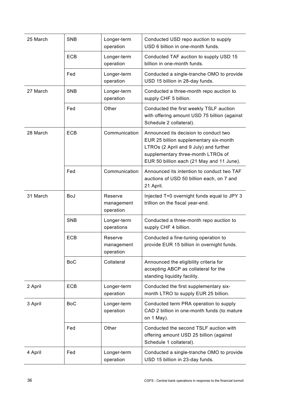| 25 March | <b>SNB</b> | Longer-term<br>operation           | Conducted USD repo auction to supply<br>USD 6 billion in one-month funds.                                                                                                                                    |
|----------|------------|------------------------------------|--------------------------------------------------------------------------------------------------------------------------------------------------------------------------------------------------------------|
|          | <b>ECB</b> | Longer-term<br>operation           | Conducted TAF auction to supply USD 15<br>billion in one-month funds.                                                                                                                                        |
|          | Fed        | Longer-term<br>operation           | Conducted a single-tranche OMO to provide<br>USD 15 billion in 28-day funds.                                                                                                                                 |
| 27 March | <b>SNB</b> | Longer-term<br>operation           | Conducted a three-month repo auction to<br>supply CHF 5 billion.                                                                                                                                             |
|          | Fed        | Other                              | Conducted the first weekly TSLF auction<br>with offering amount USD 75 billion (against<br>Schedule 2 collateral).                                                                                           |
| 28 March | <b>ECB</b> | Communication                      | Announced its decision to conduct two<br>EUR 25 billion supplementary six-month<br>LTROs (2 April and 9 July) and further<br>supplementary three-month LTROs of<br>EUR 50 billion each (21 May and 11 June). |
|          | Fed        | Communication                      | Announced its intention to conduct two TAF<br>auctions of USD 50 billion each, on 7 and<br>21 April.                                                                                                         |
| 31 March | <b>BoJ</b> | Reserve<br>management<br>operation | Injected T+0 overnight funds equal to JPY 3<br>trillion on the fiscal year-end.                                                                                                                              |
|          | <b>SNB</b> | Longer-term<br>operations          | Conducted a three-month repo auction to<br>supply CHF 4 billion.                                                                                                                                             |
|          | ECB        | Reserve<br>management<br>operation | Conducted a fine-tuning operation to<br>provide EUR 15 billion in overnight funds.                                                                                                                           |
|          | <b>BoC</b> | Collateral                         | Announced the eligibility criteria for<br>accepting ABCP as collateral for the<br>standing liquidity facility.                                                                                               |
| 2 April  | ECB        | Longer-term<br>operation           | Conducted the first supplementary six-<br>month LTRO to supply EUR 25 billion.                                                                                                                               |
| 3 April  | <b>BoC</b> | Longer-term<br>operation           | Conducted term PRA operation to supply<br>CAD 2 billion in one-month funds (to mature<br>on 1 May).                                                                                                          |
|          | Fed        | Other                              | Conducted the second TSLF auction with<br>offering amount USD 25 billion (against<br>Schedule 1 collateral).                                                                                                 |
| 4 April  | Fed        | Longer-term<br>operation           | Conducted a single-tranche OMO to provide<br>USD 15 billion in 23-day funds.                                                                                                                                 |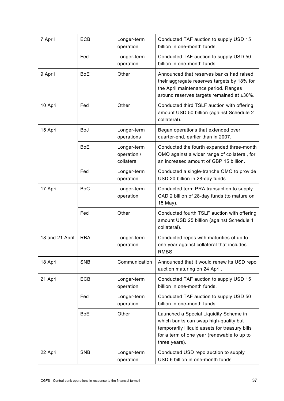| 7 April         | <b>ECB</b> | Longer-term<br>operation                 | Conducted TAF auction to supply USD 15<br>billion in one-month funds.                                                                                                                            |
|-----------------|------------|------------------------------------------|--------------------------------------------------------------------------------------------------------------------------------------------------------------------------------------------------|
|                 | Fed        | Longer-term<br>operation                 | Conducted TAF auction to supply USD 50<br>billion in one-month funds.                                                                                                                            |
| 9 April         | <b>BoE</b> | Other                                    | Announced that reserves banks had raised<br>their aggregate reserves targets by 18% for<br>the April maintenance period. Ranges<br>around reserves targets remained at ±30%.                     |
| 10 April        | Fed        | Other                                    | Conducted third TSLF auction with offering<br>amount USD 50 billion (against Schedule 2<br>collateral).                                                                                          |
| 15 April        | BoJ        | Longer-term<br>operations                | Began operations that extended over<br>quarter-end, earlier than in 2007.                                                                                                                        |
|                 | <b>BoE</b> | Longer-term<br>operation /<br>collateral | Conducted the fourth expanded three-month<br>OMO against a wider range of collateral, for<br>an increased amount of GBP 15 billion.                                                              |
|                 | Fed        | Longer-term<br>operation                 | Conducted a single-tranche OMO to provide<br>USD 20 billion in 28-day funds.                                                                                                                     |
| 17 April        | <b>BoC</b> | Longer-term<br>operation                 | Conducted term PRA transaction to supply<br>CAD 2 billion of 28-day funds (to mature on<br>15 May).                                                                                              |
|                 | Fed        | Other                                    | Conducted fourth TSLF auction with offering<br>amount USD 25 billion (against Schedule 1<br>collateral).                                                                                         |
| 18 and 21 April | <b>RBA</b> | Longer-term<br>operation                 | Conducted repos with maturities of up to<br>one year against collateral that includes<br>RMBS.                                                                                                   |
| 18 April        | <b>SNB</b> | Communication                            | Announced that it would renew its USD repo<br>auction maturing on 24 April.                                                                                                                      |
| 21 April        | ECB        | Longer-term<br>operation                 | Conducted TAF auction to supply USD 15<br>billion in one-month funds.                                                                                                                            |
|                 | Fed        | Longer-term<br>operation                 | Conducted TAF auction to supply USD 50<br>billion in one-month funds.                                                                                                                            |
|                 | <b>BoE</b> | Other                                    | Launched a Special Liquidity Scheme in<br>which banks can swap high-quality but<br>temporarily illiquid assets for treasury bills<br>for a term of one year (renewable to up to<br>three years). |
| 22 April        | <b>SNB</b> | Longer-term<br>operation                 | Conducted USD repo auction to supply<br>USD 6 billion in one-month funds.                                                                                                                        |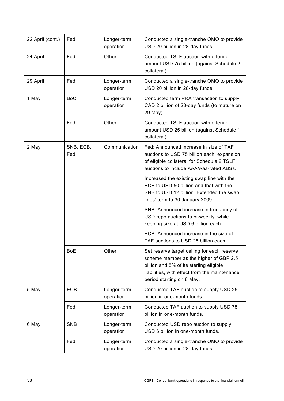| 22 April (cont.) | Fed              | Longer-term<br>operation | Conducted a single-tranche OMO to provide<br>USD 20 billion in 28-day funds.                                                                                                                                   |
|------------------|------------------|--------------------------|----------------------------------------------------------------------------------------------------------------------------------------------------------------------------------------------------------------|
| 24 April         | Fed              | Other                    | Conducted TSLF auction with offering<br>amount USD 75 billion (against Schedule 2<br>collateral).                                                                                                              |
| 29 April         | Fed              | Longer-term<br>operation | Conducted a single-tranche OMO to provide<br>USD 20 billion in 28-day funds.                                                                                                                                   |
| 1 May            | <b>BoC</b>       | Longer-term<br>operation | Conducted term PRA transaction to supply<br>CAD 2 billion of 28-day funds (to mature on<br>29 May).                                                                                                            |
|                  | Fed              | Other                    | Conducted TSLF auction with offering<br>amount USD 25 billion (against Schedule 1<br>collateral).                                                                                                              |
| 2 May            | SNB, ECB,<br>Fed | Communication            | Fed: Announced increase in size of TAF<br>auctions to USD 75 billion each; expansion<br>of eligible collateral for Schedule 2 TSLF<br>auctions to include AAA/Aaa-rated ABSs.                                  |
|                  |                  |                          | Increased the existing swap line with the<br>ECB to USD 50 billion and that with the<br>SNB to USD 12 billion. Extended the swap<br>lines' term to 30 January 2009.                                            |
|                  |                  |                          | SNB: Announced increase in frequency of<br>USD repo auctions to bi-weekly, while<br>keeping size at USD 6 billion each.                                                                                        |
|                  |                  |                          | ECB: Announced increase in the size of<br>TAF auctions to USD 25 billion each.                                                                                                                                 |
|                  | <b>BoE</b>       | Other                    | Set reserve target ceiling for each reserve<br>scheme member as the higher of GBP 2.5<br>billion and 5% of its sterling eligible<br>liabilities, with effect from the maintenance<br>period starting on 8 May. |
| 5 May            | ECB              | Longer-term<br>operation | Conducted TAF auction to supply USD 25<br>billion in one-month funds.                                                                                                                                          |
|                  | Fed              | Longer-term<br>operation | Conducted TAF auction to supply USD 75<br>billion in one-month funds.                                                                                                                                          |
| 6 May            | <b>SNB</b>       | Longer-term<br>operation | Conducted USD repo auction to supply<br>USD 6 billion in one-month funds.                                                                                                                                      |
|                  | Fed              | Longer-term<br>operation | Conducted a single-tranche OMO to provide<br>USD 20 billion in 28-day funds.                                                                                                                                   |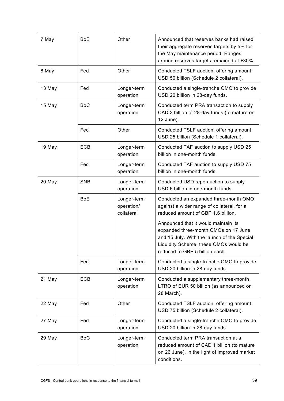| 7 May  | <b>BoE</b> | Other                                   | Announced that reserves banks had raised<br>their aggregate reserves targets by 5% for<br>the May maintenance period. Ranges<br>around reserves targets remained at ±30%.                              |
|--------|------------|-----------------------------------------|--------------------------------------------------------------------------------------------------------------------------------------------------------------------------------------------------------|
| 8 May  | Fed        | Other                                   | Conducted TSLF auction, offering amount<br>USD 50 billion (Schedule 2 collateral).                                                                                                                     |
| 13 May | Fed        | Longer-term<br>operation                | Conducted a single-tranche OMO to provide<br>USD 20 billion in 28-day funds.                                                                                                                           |
| 15 May | <b>BoC</b> | Longer-term<br>operation                | Conducted term PRA transaction to supply<br>CAD 2 billion of 28-day funds (to mature on<br>12 June).                                                                                                   |
|        | Fed        | Other                                   | Conducted TSLF auction, offering amount<br>USD 25 billion (Schedule 1 collateral).                                                                                                                     |
| 19 May | <b>ECB</b> | Longer-term<br>operation                | Conducted TAF auction to supply USD 25<br>billion in one-month funds.                                                                                                                                  |
|        | Fed        | Longer-term<br>operation                | Conducted TAF auction to supply USD 75<br>billion in one-month funds.                                                                                                                                  |
| 20 May | <b>SNB</b> | Longer-term<br>operation                | Conducted USD repo auction to supply<br>USD 6 billion in one-month funds.                                                                                                                              |
|        | <b>BoE</b> | Longer-term<br>operation/<br>collateral | Conducted an expanded three-month OMO<br>against a wider range of collateral, for a<br>reduced amount of GBP 1.6 billion.                                                                              |
|        |            |                                         | Announced that it would maintain its<br>expanded three-month OMOs on 17 June<br>and 15 July. With the launch of the Special<br>Liquidity Scheme, these OMOs would be<br>reduced to GBP 5 billion each. |
|        | Fed        | Longer-term<br>operation                | Conducted a single-tranche OMO to provide<br>USD 20 billion in 28-day funds.                                                                                                                           |
| 21 May | <b>ECB</b> | Longer-term<br>operation                | Conducted a supplementary three-month<br>LTRO of EUR 50 billion (as announced on<br>28 March).                                                                                                         |
| 22 May | Fed        | Other                                   | Conducted TSLF auction, offering amount<br>USD 75 billion (Schedule 2 collateral).                                                                                                                     |
| 27 May | Fed        | Longer-term<br>operation                | Conducted a single-tranche OMO to provide<br>USD 20 billion in 28-day funds.                                                                                                                           |
| 29 May | <b>BoC</b> | Longer-term<br>operation                | Conducted term PRA transaction at a<br>reduced amount of CAD 1 billion (to mature<br>on 26 June), in the light of improved market<br>conditions.                                                       |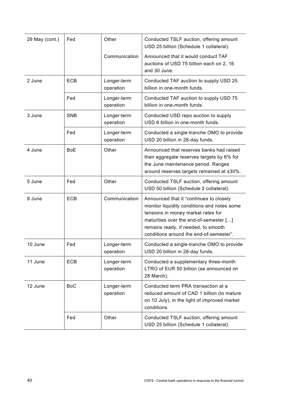| 29 May (cont.) | Fed        | Other                    | Conducted TSLF auction, offering amount<br>USD 25 billion (Schedule 1 collateral).                                                                                                                                                                       |
|----------------|------------|--------------------------|----------------------------------------------------------------------------------------------------------------------------------------------------------------------------------------------------------------------------------------------------------|
|                |            | Communication            | Announced that it would conduct TAF<br>auctions of USD 75 billion each on 2, 16<br>and 30 June.                                                                                                                                                          |
| 2 June         | <b>ECB</b> | Longer-term<br>operation | Conducted TAF auction to supply USD 25<br>billion in one-month funds.                                                                                                                                                                                    |
|                | Fed        | Longer-term<br>operation | Conducted TAF auction to supply USD 75<br>billion in one-month funds.                                                                                                                                                                                    |
| 3 June         | <b>SNB</b> | Longer-term<br>operation | Conducted USD repo auction to supply<br>USD 6 billion in one-month funds.                                                                                                                                                                                |
|                | Fed        | Longer-term<br>operation | Conducted a single-tranche OMO to provide<br>USD 20 billion in 28-day funds.                                                                                                                                                                             |
| 4 June         | <b>BoE</b> | Other                    | Announced that reserves banks had raised<br>their aggregate reserves targets by 6% for<br>the June maintenance period. Ranges<br>around reserves targets remained at ±30%.                                                                               |
| 5 June         | Fed        | Other                    | Conducted TSLF auction, offering amount<br>USD 50 billion (Schedule 2 collateral).                                                                                                                                                                       |
| 9 June         | <b>ECB</b> | Communication            | Announced that it "continues to closely<br>monitor liquidity conditions and notes some<br>tensions in money market rates for<br>maturities over the end-of-semester []<br>remains ready, if needed, to smooth<br>conditions around the end-of-semester". |
| 10 June        | Fed        | Longer-term<br>operation | Conducted a single-tranche OMO to provide<br>USD 20 billion in 28-day funds.                                                                                                                                                                             |
| 11 June        | <b>ECB</b> | Longer-term<br>operation | Conducted a supplementary three-month<br>LTRO of EUR 50 billion (as announced on<br>28 March).                                                                                                                                                           |
| 12 June        | <b>BoC</b> | Longer-term<br>operation | Conducted term PRA transaction at a<br>reduced amount of CAD 1 billion (to mature<br>on 10 July), in the light of improved market<br>conditions.                                                                                                         |
|                | Fed        | Other                    | Conducted TSLF auction, offering amount<br>USD 25 billion (Schedule 1 collateral).                                                                                                                                                                       |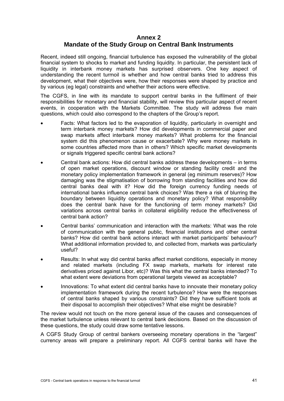#### **Annex 2**

# **Mandate of the Study Group on Central Bank Instruments**

Recent, indeed still ongoing, financial turbulence has exposed the vulnerability of the global financial system to shocks to market and funding liquidity. In particular, the persistent lack of liquidity in interbank money markets has surprised observers. One key aspect of understanding the recent turmoil is whether and how central banks tried to address this development, what their objectives were, how their responses were shaped by practice and by various (eg legal) constraints and whether their actions were effective.

The CGFS, in line with its mandate to support central banks in the fulfilment of their responsibilities for monetary and financial stability, will review this particular aspect of recent events, in cooperation with the Markets Committee. The study will address five main questions, which could also correspond to the chapters of the Group's report.

- Facts: What factors led to the evaporation of liquidity, particularly in overnight and term interbank money markets? How did developments in commercial paper and swap markets affect interbank money markets? What problems for the financial system did this phenomenon cause or exacerbate? Why were money markets in some countries affected more than in others? Which specific market developments or signals triggered specific central bank actions?
- Central bank actions: How did central banks address these developments in terms of open market operations, discount window or standing facility credit and the monetary policy implementation framework in general (eg minimum reserves)? How damaging was the stigmatisation of borrowing from standing facilities and how did central banks deal with it? How did the foreign currency funding needs of international banks influence central bank choices? Was there a risk of blurring the boundary between liquidity operations and monetary policy? What responsibility does the central bank have for the functioning of term money markets? Did variations across central banks in collateral eligibility reduce the effectiveness of central bank action?
- Central banks' communication and interaction with the markets: What was the role of communication with the general public, financial institutions and other central banks? How did central bank actions interact with market participants' behaviour? What additional information provided to, and collected from, markets was particularly useful?
- Results: In what way did central banks affect market conditions, especially in money and related markets (including FX swap markets, markets for interest rate derivatives priced against Libor, etc)? Was this what the central banks intended? To what extent were deviations from operational targets viewed as acceptable?
- Innovations: To what extent did central banks have to innovate their monetary policy implementation framework during the recent turbulence? How were the responses of central banks shaped by various constraints? Did they have sufficient tools at their disposal to accomplish their objectives? What else might be desirable?

The review would not touch on the more general issue of the causes and consequences of the market turbulence unless relevant to central bank decisions. Based on the discussion of these questions, the study could draw some tentative lessons.

A CGFS Study Group of central bankers overseeing monetary operations in the "largest" currency areas will prepare a preliminary report. All CGFS central banks will have the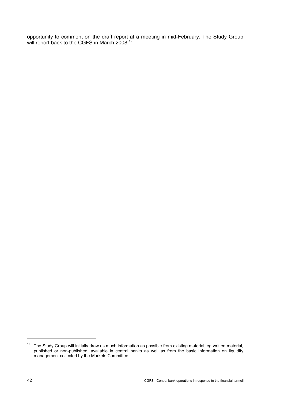opportunity to comment on the draft report at a meeting in mid-February. The Study Group will report back to the CGFS in March 2008.<sup>19</sup>

<sup>&</sup>lt;sup>19</sup> The Study Group will initially draw as much information as possible from existing material, eg written material, published or non-published, available in central banks as well as from the basic information on liquidity management collected by the Markets Committee.